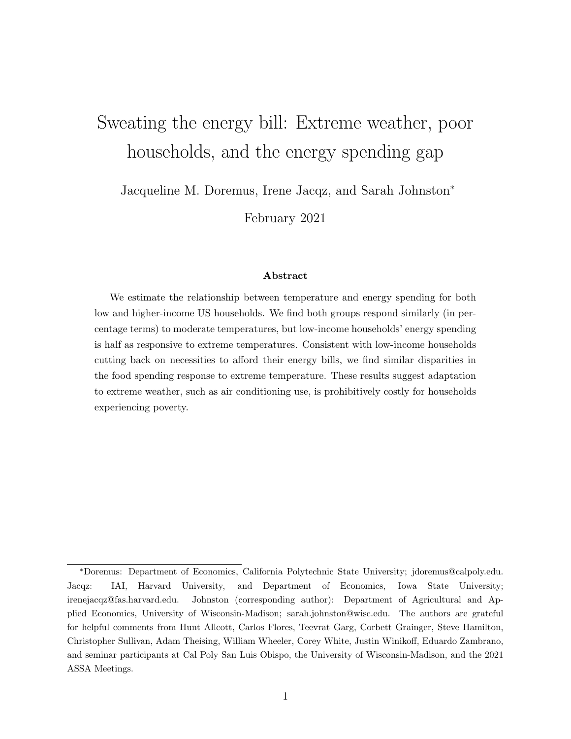# <span id="page-0-0"></span>Sweating the energy bill: Extreme weather, poor households, and the energy spending gap

Jacqueline M. Doremus, Irene Jacqz, and Sarah Johnston<sup>∗</sup>

February 2021

#### Abstract

We estimate the relationship between temperature and energy spending for both low and higher-income US households. We find both groups respond similarly (in percentage terms) to moderate temperatures, but low-income households' energy spending is half as responsive to extreme temperatures. Consistent with low-income households cutting back on necessities to afford their energy bills, we find similar disparities in the food spending response to extreme temperature. These results suggest adaptation to extreme weather, such as air conditioning use, is prohibitively costly for households experiencing poverty.

<sup>∗</sup>Doremus: Department of Economics, California Polytechnic State University; jdoremus@calpoly.edu. Jacqz: IAI, Harvard University, and Department of Economics, Iowa State University; irenejacqz@fas.harvard.edu. Johnston (corresponding author): Department of Agricultural and Applied Economics, University of Wisconsin-Madison; sarah.johnston@wisc.edu. The authors are grateful for helpful comments from Hunt Allcott, Carlos Flores, Teevrat Garg, Corbett Grainger, Steve Hamilton, Christopher Sullivan, Adam Theising, William Wheeler, Corey White, Justin Winikoff, Eduardo Zambrano, and seminar participants at Cal Poly San Luis Obispo, the University of Wisconsin-Madison, and the 2021 ASSA Meetings.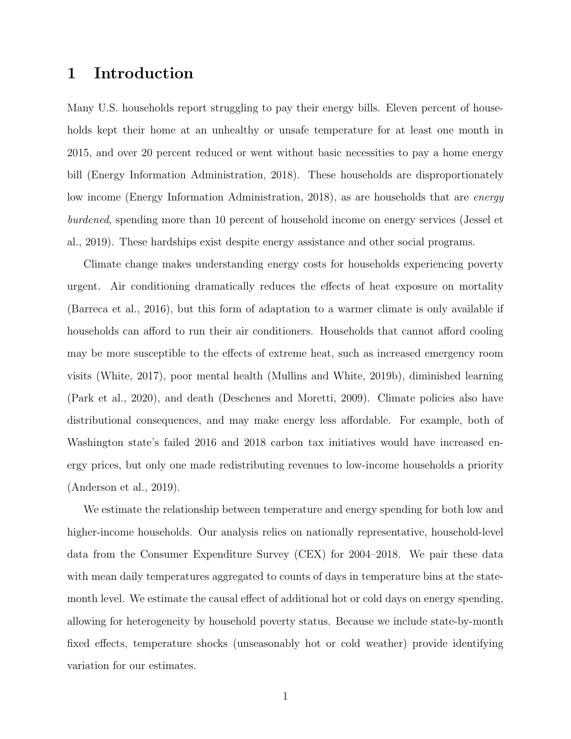### 1 Introduction

Many U.S. households report struggling to pay their energy bills. Eleven percent of households kept their home at an unhealthy or unsafe temperature for at least one month in 2015, and over 20 percent reduced or went without basic necessities to pay a home energy bill [\(Energy Information Administration, 2018\)](#page-20-0). These households are disproportionately low income [\(Energy Information Administration, 2018\)](#page-20-0), as are households that are *energy* burdened, spending more than 10 percent of household income on energy services [\(Jessel et](#page-21-0) [al., 2019\)](#page-21-0). These hardships exist despite energy assistance and other social programs.

Climate change makes understanding energy costs for households experiencing poverty urgent. Air conditioning dramatically reduces the effects of heat exposure on mortality [\(Barreca et al., 2016\)](#page-19-0), but this form of adaptation to a warmer climate is only available if households can afford to run their air conditioners. Households that cannot afford cooling may be more susceptible to the effects of extreme heat, such as increased emergency room visits [\(White, 2017\)](#page-22-0), poor mental health [\(Mullins and White, 2019b\)](#page-21-1), diminished learning [\(Park et al., 2020\)](#page-21-2), and death [\(Deschenes and Moretti, 2009\)](#page-20-1). Climate policies also have distributional consequences, and may make energy less affordable. For example, both of Washington state's failed 2016 and 2018 carbon tax initiatives would have increased energy prices, but only one made redistributing revenues to low-income households a priority [\(Anderson et al., 2019\)](#page-19-1).

We estimate the relationship between temperature and energy spending for both low and higher-income households. Our analysis relies on nationally representative, household-level data from the Consumer Expenditure Survey (CEX) for 2004–2018. We pair these data with mean daily temperatures aggregated to counts of days in temperature bins at the statemonth level. We estimate the causal effect of additional hot or cold days on energy spending, allowing for heterogeneity by household poverty status. Because we include state-by-month fixed effects, temperature shocks (unseasonably hot or cold weather) provide identifying variation for our estimates.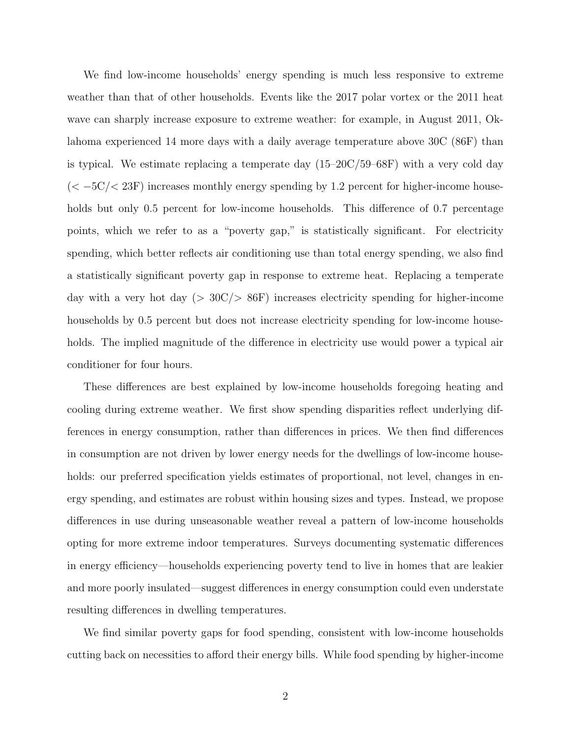We find low-income households' energy spending is much less responsive to extreme weather than that of other households. Events like the 2017 polar vortex or the 2011 heat wave can sharply increase exposure to extreme weather: for example, in August 2011, Oklahoma experienced 14 more days with a daily average temperature above 30C (86F) than is typical. We estimate replacing a temperate day (15–20C/59–68F) with a very cold day  $(< -5C/< 23F$ ) increases monthly energy spending by 1.2 percent for higher-income households but only 0.5 percent for low-income households. This difference of 0.7 percentage points, which we refer to as a "poverty gap," is statistically significant. For electricity spending, which better reflects air conditioning use than total energy spending, we also find a statistically significant poverty gap in response to extreme heat. Replacing a temperate day with a very hot day ( $> 30C/> 86F$ ) increases electricity spending for higher-income households by 0.5 percent but does not increase electricity spending for low-income households. The implied magnitude of the difference in electricity use would power a typical air conditioner for four hours.

These differences are best explained by low-income households foregoing heating and cooling during extreme weather. We first show spending disparities reflect underlying differences in energy consumption, rather than differences in prices. We then find differences in consumption are not driven by lower energy needs for the dwellings of low-income households: our preferred specification yields estimates of proportional, not level, changes in energy spending, and estimates are robust within housing sizes and types. Instead, we propose differences in use during unseasonable weather reveal a pattern of low-income households opting for more extreme indoor temperatures. Surveys documenting systematic differences in energy efficiency—households experiencing poverty tend to live in homes that are leakier and more poorly insulated—suggest differences in energy consumption could even understate resulting differences in dwelling temperatures.

We find similar poverty gaps for food spending, consistent with low-income households cutting back on necessities to afford their energy bills. While food spending by higher-income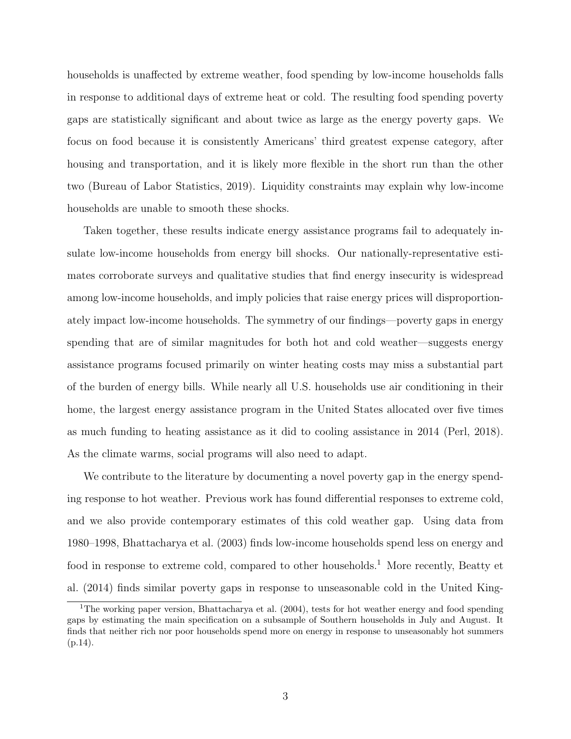households is unaffected by extreme weather, food spending by low-income households falls in response to additional days of extreme heat or cold. The resulting food spending poverty gaps are statistically significant and about twice as large as the energy poverty gaps. We focus on food because it is consistently Americans' third greatest expense category, after housing and transportation, and it is likely more flexible in the short run than the other two [\(Bureau of Labor Statistics, 2019\)](#page-19-2). Liquidity constraints may explain why low-income households are unable to smooth these shocks.

Taken together, these results indicate energy assistance programs fail to adequately insulate low-income households from energy bill shocks. Our nationally-representative estimates corroborate surveys and qualitative studies that find energy insecurity is widespread among low-income households, and imply policies that raise energy prices will disproportionately impact low-income households. The symmetry of our findings—poverty gaps in energy spending that are of similar magnitudes for both hot and cold weather—suggests energy assistance programs focused primarily on winter heating costs may miss a substantial part of the burden of energy bills. While nearly all U.S. households use air conditioning in their home, the largest energy assistance program in the United States allocated over five times as much funding to heating assistance as it did to cooling assistance in 2014 [\(Perl, 2018\)](#page-22-1). As the climate warms, social programs will also need to adapt.

We contribute to the literature by documenting a novel poverty gap in the energy spending response to hot weather. Previous work has found differential responses to extreme cold, and we also provide contemporary estimates of this cold weather gap. Using data from 1980–1998, [Bhattacharya et al.](#page-19-3) [\(2003\)](#page-19-3) finds low-income households spend less on energy and food in response to extreme cold, compared to other households.<sup>[1](#page-0-0)</sup> More recently, [Beatty et](#page-19-4) [al.](#page-19-4) [\(2014\)](#page-19-4) finds similar poverty gaps in response to unseasonable cold in the United King-

<sup>&</sup>lt;sup>1</sup>The working paper version, [Bhattacharya et al.](#page-19-5) [\(2004\)](#page-19-5), tests for hot weather energy and food spending gaps by estimating the main specification on a subsample of Southern households in July and August. It finds that neither rich nor poor households spend more on energy in response to unseasonably hot summers  $(p.14)$ .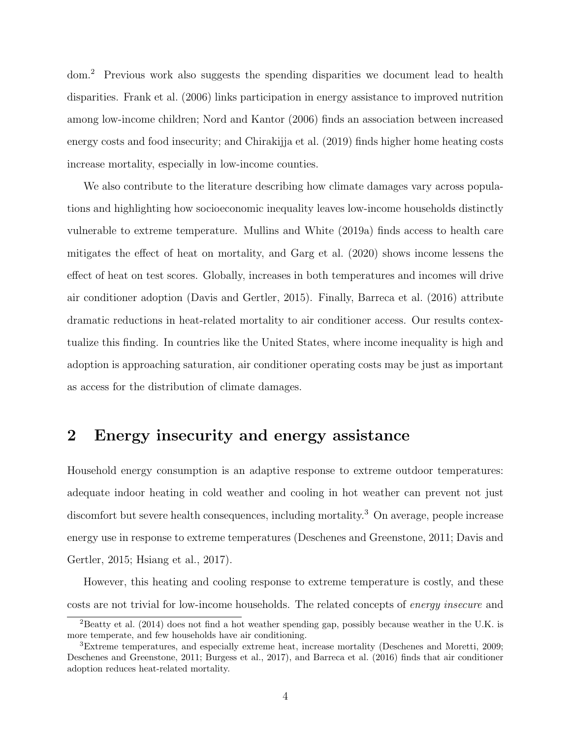dom.[2](#page-0-0) Previous work also suggests the spending disparities we document lead to health disparities. [Frank et al.](#page-20-2) [\(2006\)](#page-20-2) links participation in energy assistance to improved nutrition among low-income children; [Nord and Kantor](#page-21-3) [\(2006\)](#page-21-3) finds an association between increased energy costs and food insecurity; and [Chirakijja et al.](#page-19-6) [\(2019\)](#page-19-6) finds higher home heating costs increase mortality, especially in low-income counties.

We also contribute to the literature describing how climate damages vary across populations and highlighting how socioeconomic inequality leaves low-income households distinctly vulnerable to extreme temperature. [Mullins and White](#page-21-4) [\(2019a\)](#page-21-4) finds access to health care mitigates the effect of heat on mortality, and [Garg et al.](#page-20-3) [\(2020\)](#page-20-3) shows income lessens the effect of heat on test scores. Globally, increases in both temperatures and incomes will drive air conditioner adoption [\(Davis and Gertler, 2015\)](#page-20-4). Finally, [Barreca et al.](#page-19-0) [\(2016\)](#page-19-0) attribute dramatic reductions in heat-related mortality to air conditioner access. Our results contextualize this finding. In countries like the United States, where income inequality is high and adoption is approaching saturation, air conditioner operating costs may be just as important as access for the distribution of climate damages.

### 2 Energy insecurity and energy assistance

Household energy consumption is an adaptive response to extreme outdoor temperatures: adequate indoor heating in cold weather and cooling in hot weather can prevent not just discomfort but severe health consequences, including mortality.<sup>[3](#page-0-0)</sup> On average, people increase energy use in response to extreme temperatures [\(Deschenes and Greenstone, 2011;](#page-20-5) [Davis and](#page-20-4) [Gertler, 2015;](#page-20-4) [Hsiang et al., 2017\)](#page-21-5).

However, this heating and cooling response to extreme temperature is costly, and these costs are not trivial for low-income households. The related concepts of energy insecure and

<sup>2</sup>[Beatty et al.](#page-19-4) [\(2014\)](#page-19-4) does not find a hot weather spending gap, possibly because weather in the U.K. is more temperate, and few households have air conditioning.

<sup>3</sup>Extreme temperatures, and especially extreme heat, increase mortality [\(Deschenes and Moretti, 2009;](#page-20-1) [Deschenes and Greenstone, 2011;](#page-20-5) [Burgess et al., 2017\)](#page-19-7), and [Barreca et al.](#page-19-0) [\(2016\)](#page-19-0) finds that air conditioner adoption reduces heat-related mortality.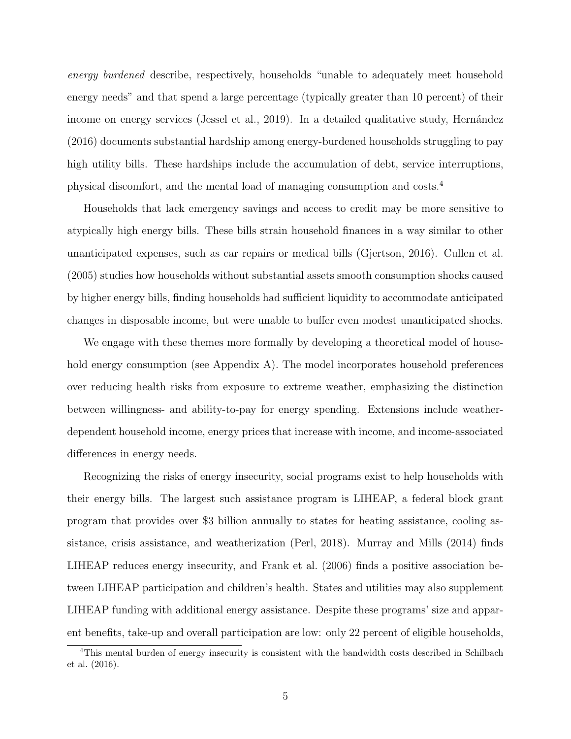energy burdened describe, respectively, households "unable to adequately meet household energy needs" and that spend a large percentage (typically greater than 10 percent) of their income on energy services [\(Jessel et al., 2019\)](#page-21-0). In a detailed qualitative study, Hernández [\(2016\)](#page-21-6) documents substantial hardship among energy-burdened households struggling to pay high utility bills. These hardships include the accumulation of debt, service interruptions, physical discomfort, and the mental load of managing consumption and costs.[4](#page-0-0)

Households that lack emergency savings and access to credit may be more sensitive to atypically high energy bills. These bills strain household finances in a way similar to other unanticipated expenses, such as car repairs or medical bills [\(Gjertson, 2016\)](#page-20-6). [Cullen et al.](#page-19-8) [\(2005\)](#page-19-8) studies how households without substantial assets smooth consumption shocks caused by higher energy bills, finding households had sufficient liquidity to accommodate anticipated changes in disposable income, but were unable to buffer even modest unanticipated shocks.

We engage with these themes more formally by developing a theoretical model of house-hold energy consumption (see Appendix [A\)](#page-29-0). The model incorporates household preferences over reducing health risks from exposure to extreme weather, emphasizing the distinction between willingness- and ability-to-pay for energy spending. Extensions include weatherdependent household income, energy prices that increase with income, and income-associated differences in energy needs.

Recognizing the risks of energy insecurity, social programs exist to help households with their energy bills. The largest such assistance program is LIHEAP, a federal block grant program that provides over \$3 billion annually to states for heating assistance, cooling assistance, crisis assistance, and weatherization [\(Perl, 2018\)](#page-22-1). [Murray and Mills](#page-21-7) [\(2014\)](#page-21-7) finds LIHEAP reduces energy insecurity, and [Frank et al.](#page-20-2) [\(2006\)](#page-20-2) finds a positive association between LIHEAP participation and children's health. States and utilities may also supplement LIHEAP funding with additional energy assistance. Despite these programs' size and apparent benefits, take-up and overall participation are low: only 22 percent of eligible households,

<sup>4</sup>This mental burden of energy insecurity is consistent with the bandwidth costs described in [Schilbach](#page-22-2) [et al.](#page-22-2) [\(2016\)](#page-22-2).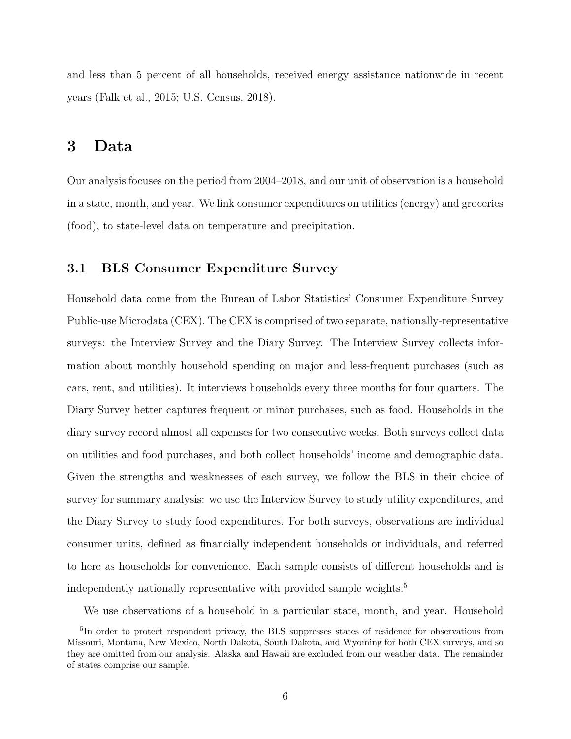and less than 5 percent of all households, received energy assistance nationwide in recent years [\(Falk et al., 2015;](#page-20-7) [U.S. Census, 2018\)](#page-22-3).

### 3 Data

Our analysis focuses on the period from 2004–2018, and our unit of observation is a household in a state, month, and year. We link consumer expenditures on utilities (energy) and groceries (food), to state-level data on temperature and precipitation.

### 3.1 BLS Consumer Expenditure Survey

Household data come from the Bureau of Labor Statistics' Consumer Expenditure Survey Public-use Microdata (CEX). The CEX is comprised of two separate, nationally-representative surveys: the Interview Survey and the Diary Survey. The Interview Survey collects information about monthly household spending on major and less-frequent purchases (such as cars, rent, and utilities). It interviews households every three months for four quarters. The Diary Survey better captures frequent or minor purchases, such as food. Households in the diary survey record almost all expenses for two consecutive weeks. Both surveys collect data on utilities and food purchases, and both collect households' income and demographic data. Given the strengths and weaknesses of each survey, we follow the BLS in their choice of survey for summary analysis: we use the Interview Survey to study utility expenditures, and the Diary Survey to study food expenditures. For both surveys, observations are individual consumer units, defined as financially independent households or individuals, and referred to here as households for convenience. Each sample consists of different households and is independently nationally representative with provided sample weights.<sup>[5](#page-0-0)</sup>

We use observations of a household in a particular state, month, and year. Household

<sup>&</sup>lt;sup>5</sup>In order to protect respondent privacy, the BLS suppresses states of residence for observations from Missouri, Montana, New Mexico, North Dakota, South Dakota, and Wyoming for both CEX surveys, and so they are omitted from our analysis. Alaska and Hawaii are excluded from our weather data. The remainder of states comprise our sample.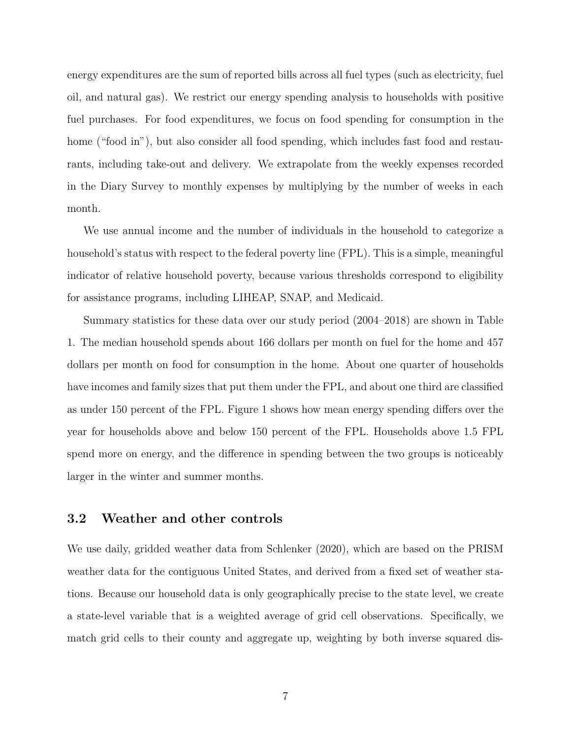energy expenditures are the sum of reported bills across all fuel types (such as electricity, fuel oil, and natural gas). We restrict our energy spending analysis to households with positive fuel purchases. For food expenditures, we focus on food spending for consumption in the home ("food in"), but also consider all food spending, which includes fast food and restaurants, including take-out and delivery. We extrapolate from the weekly expenses recorded in the Diary Survey to monthly expenses by multiplying by the number of weeks in each month.

We use annual income and the number of individuals in the household to categorize a household's status with respect to the federal poverty line (FPL). This is a simple, meaningful indicator of relative household poverty, because various thresholds correspond to eligibility for assistance programs, including LIHEAP, SNAP, and Medicaid.

Summary statistics for these data over our study period (2004–2018) are shown in Table [1.](#page-23-0) The median household spends about 166 dollars per month on fuel for the home and 457 dollars per month on food for consumption in the home. About one quarter of households have incomes and family sizes that put them under the FPL, and about one third are classified as under 150 percent of the FPL. Figure [1](#page-24-0) shows how mean energy spending differs over the year for households above and below 150 percent of the FPL. Households above 1.5 FPL spend more on energy, and the difference in spending between the two groups is noticeably larger in the winter and summer months.

### 3.2 Weather and other controls

We use daily, gridded weather data from [Schlenker](#page-22-4) [\(2020\)](#page-22-4), which are based on the PRISM weather data for the contiguous United States, and derived from a fixed set of weather stations. Because our household data is only geographically precise to the state level, we create a state-level variable that is a weighted average of grid cell observations. Specifically, we match grid cells to their county and aggregate up, weighting by both inverse squared dis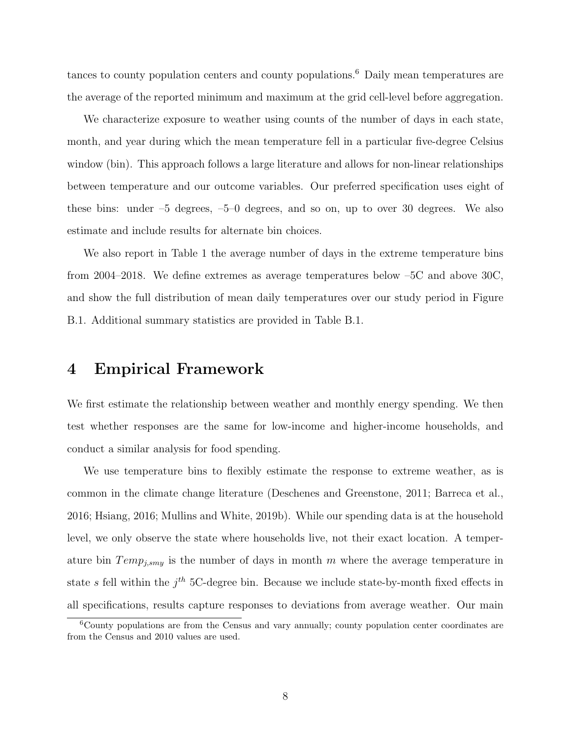tances to county population centers and county populations.[6](#page-0-0) Daily mean temperatures are the average of the reported minimum and maximum at the grid cell-level before aggregation.

We characterize exposure to weather using counts of the number of days in each state, month, and year during which the mean temperature fell in a particular five-degree Celsius window (bin). This approach follows a large literature and allows for non-linear relationships between temperature and our outcome variables. Our preferred specification uses eight of these bins: under –5 degrees, –5–0 degrees, and so on, up to over 30 degrees. We also estimate and include results for alternate bin choices.

We also report in Table [1](#page-23-0) the average number of days in the extreme temperature bins from 2004–2018. We define extremes as average temperatures below –5C and above 30C, and show the full distribution of mean daily temperatures over our study period in Figure [B.1.](#page-24-0) Additional summary statistics are provided in Table [B.1.](#page-23-0)

### 4 Empirical Framework

We first estimate the relationship between weather and monthly energy spending. We then test whether responses are the same for low-income and higher-income households, and conduct a similar analysis for food spending.

We use temperature bins to flexibly estimate the response to extreme weather, as is common in the climate change literature [\(Deschenes and Greenstone, 2011;](#page-20-5) [Barreca et al.,](#page-19-0) [2016;](#page-19-0) [Hsiang, 2016;](#page-21-8) [Mullins and White, 2019b\)](#page-21-1). While our spending data is at the household level, we only observe the state where households live, not their exact location. A temperature bin  $Temp_{j, smy}$  is the number of days in month m where the average temperature in state s fell within the  $j<sup>th</sup>$  5C-degree bin. Because we include state-by-month fixed effects in all specifications, results capture responses to deviations from average weather. Our main

<sup>6</sup>County populations are from the Census and vary annually; county population center coordinates are from the Census and 2010 values are used.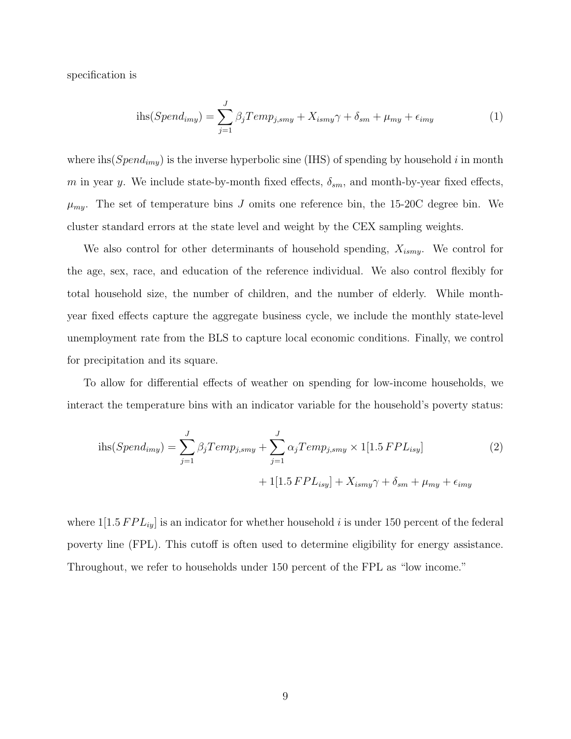specification is

<span id="page-9-1"></span>
$$
i\text{hs}(Spend_{imy}) = \sum_{j=1}^{J} \beta_j Temp_{j, smy} + X_{ismy}\gamma + \delta_{sm} + \mu_{my} + \epsilon_{imy}
$$
(1)

where ihs  $(Spend_{imy})$  is the inverse hyperbolic sine (IHS) of spending by household i in month m in year y. We include state-by-month fixed effects,  $\delta_{sm}$ , and month-by-year fixed effects,  $\mu_{my}$ . The set of temperature bins J omits one reference bin, the 15-20C degree bin. We cluster standard errors at the state level and weight by the CEX sampling weights.

We also control for other determinants of household spending,  $X_{ismy}$ . We control for the age, sex, race, and education of the reference individual. We also control flexibly for total household size, the number of children, and the number of elderly. While monthyear fixed effects capture the aggregate business cycle, we include the monthly state-level unemployment rate from the BLS to capture local economic conditions. Finally, we control for precipitation and its square.

To allow for differential effects of weather on spending for low-income households, we interact the temperature bins with an indicator variable for the household's poverty status:

<span id="page-9-0"></span>
$$
\text{ihs}(Spend_{imy}) = \sum_{j=1}^{J} \beta_j Temp_{j, smy} + \sum_{j=1}^{J} \alpha_j Temp_{j, smy} \times 1[1.5 FPL_{isy}]
$$
\n
$$
+ 1[1.5 FPL_{isy}] + X_{ismy}\gamma + \delta_{sm} + \mu_{my} + \epsilon_{imy}
$$
\n
$$
(2)
$$

where  $1[1.5 FPL_{iy}]$  is an indicator for whether household i is under 150 percent of the federal poverty line (FPL). This cutoff is often used to determine eligibility for energy assistance. Throughout, we refer to households under 150 percent of the FPL as "low income."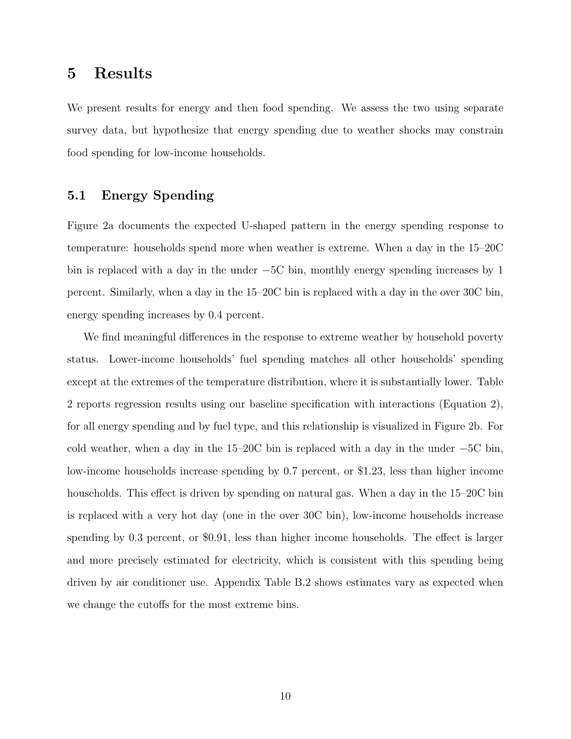### 5 Results

We present results for energy and then food spending. We assess the two using separate survey data, but hypothesize that energy spending due to weather shocks may constrain food spending for low-income households.

### 5.1 Energy Spending

Figure [2a](#page-25-0) documents the expected U-shaped pattern in the energy spending response to temperature: households spend more when weather is extreme. When a day in the 15–20C bin is replaced with a day in the under −5C bin, monthly energy spending increases by 1 percent. Similarly, when a day in the 15–20C bin is replaced with a day in the over 30C bin, energy spending increases by 0.4 percent.

We find meaningful differences in the response to extreme weather by household poverty status. Lower-income households' fuel spending matches all other households' spending except at the extremes of the temperature distribution, where it is substantially lower. Table [2](#page-26-0) reports regression results using our baseline specification with interactions (Equation [2\)](#page-9-0), for all energy spending and by fuel type, and this relationship is visualized in Figure [2b](#page-25-0). For cold weather, when a day in the 15–20C bin is replaced with a day in the under −5C bin, low-income households increase spending by 0.7 percent, or \$1.23, less than higher income households. This effect is driven by spending on natural gas. When a day in the 15–20C bin is replaced with a very hot day (one in the over 30C bin), low-income households increase spending by 0.3 percent, or \$0.91, less than higher income households. The effect is larger and more precisely estimated for electricity, which is consistent with this spending being driven by air conditioner use. Appendix Table [B.2](#page-26-0) shows estimates vary as expected when we change the cutoffs for the most extreme bins.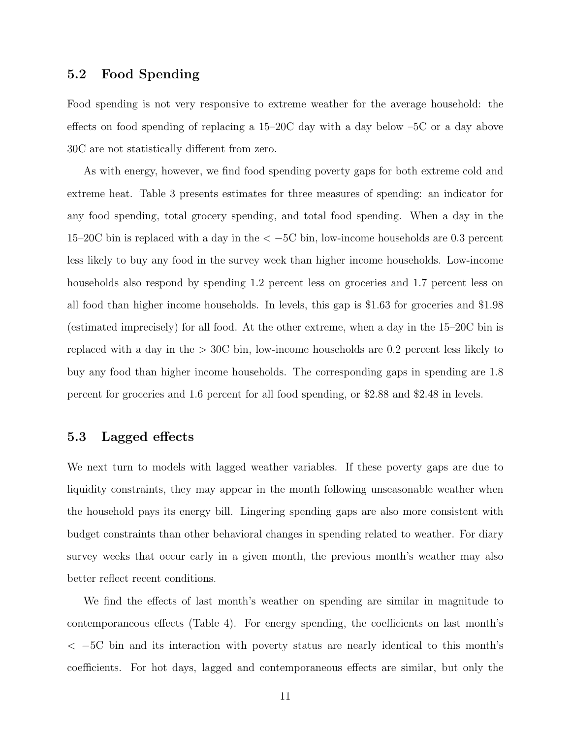### 5.2 Food Spending

Food spending is not very responsive to extreme weather for the average household: the effects on food spending of replacing a 15–20C day with a day below –5C or a day above 30C are not statistically different from zero.

As with energy, however, we find food spending poverty gaps for both extreme cold and extreme heat. Table [3](#page-27-0) presents estimates for three measures of spending: an indicator for any food spending, total grocery spending, and total food spending. When a day in the 15–20C bin is replaced with a day in the < −5C bin, low-income households are 0.3 percent less likely to buy any food in the survey week than higher income households. Low-income households also respond by spending 1.2 percent less on groceries and 1.7 percent less on all food than higher income households. In levels, this gap is \$1.63 for groceries and \$1.98 (estimated imprecisely) for all food. At the other extreme, when a day in the 15–20C bin is replaced with a day in the > 30C bin, low-income households are 0.2 percent less likely to buy any food than higher income households. The corresponding gaps in spending are 1.8 percent for groceries and 1.6 percent for all food spending, or \$2.88 and \$2.48 in levels.

#### 5.3 Lagged effects

We next turn to models with lagged weather variables. If these poverty gaps are due to liquidity constraints, they may appear in the month following unseasonable weather when the household pays its energy bill. Lingering spending gaps are also more consistent with budget constraints than other behavioral changes in spending related to weather. For diary survey weeks that occur early in a given month, the previous month's weather may also better reflect recent conditions.

We find the effects of last month's weather on spending are similar in magnitude to contemporaneous effects (Table [4\)](#page-28-0). For energy spending, the coefficients on last month's < −5C bin and its interaction with poverty status are nearly identical to this month's coefficients. For hot days, lagged and contemporaneous effects are similar, but only the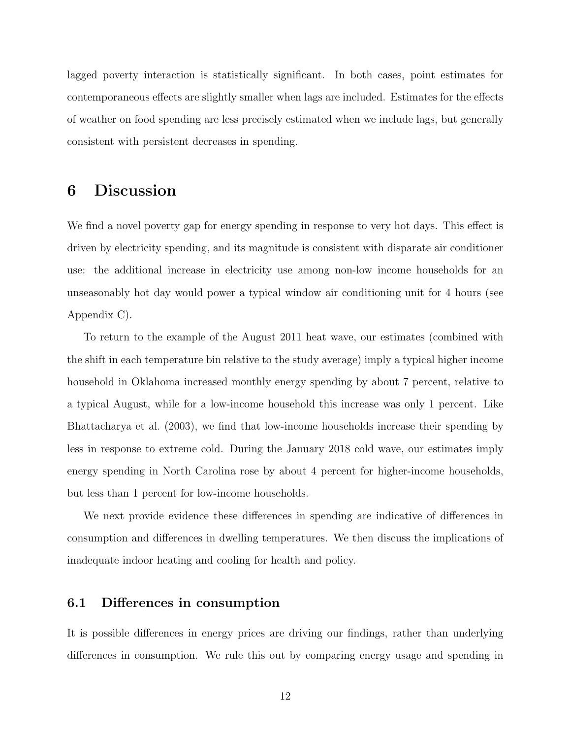lagged poverty interaction is statistically significant. In both cases, point estimates for contemporaneous effects are slightly smaller when lags are included. Estimates for the effects of weather on food spending are less precisely estimated when we include lags, but generally consistent with persistent decreases in spending.

### 6 Discussion

We find a novel poverty gap for energy spending in response to very hot days. This effect is driven by electricity spending, and its magnitude is consistent with disparate air conditioner use: the additional increase in electricity use among non-low income households for an unseasonably hot day would power a typical window air conditioning unit for 4 hours (see Appendix [C\)](#page-45-0).

To return to the example of the August 2011 heat wave, our estimates (combined with the shift in each temperature bin relative to the study average) imply a typical higher income household in Oklahoma increased monthly energy spending by about 7 percent, relative to a typical August, while for a low-income household this increase was only 1 percent. Like [Bhattacharya et al.](#page-19-3) [\(2003\)](#page-19-3), we find that low-income households increase their spending by less in response to extreme cold. During the January 2018 cold wave, our estimates imply energy spending in North Carolina rose by about 4 percent for higher-income households, but less than 1 percent for low-income households.

We next provide evidence these differences in spending are indicative of differences in consumption and differences in dwelling temperatures. We then discuss the implications of inadequate indoor heating and cooling for health and policy.

### 6.1 Differences in consumption

It is possible differences in energy prices are driving our findings, rather than underlying differences in consumption. We rule this out by comparing energy usage and spending in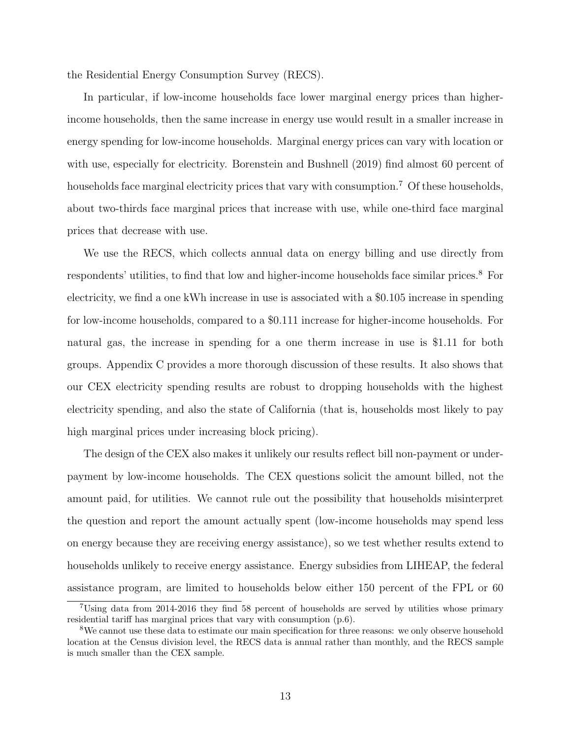the Residential Energy Consumption Survey (RECS).

In particular, if low-income households face lower marginal energy prices than higherincome households, then the same increase in energy use would result in a smaller increase in energy spending for low-income households. Marginal energy prices can vary with location or with use, especially for electricity. [Borenstein and Bushnell](#page-19-9) [\(2019\)](#page-19-9) find almost 60 percent of households face marginal electricity prices that vary with consumption.<sup>[7](#page-0-0)</sup> Of these households, about two-thirds face marginal prices that increase with use, while one-third face marginal prices that decrease with use.

We use the RECS, which collects annual data on energy billing and use directly from respondents' utilities, to find that low and higher-income households face similar prices.[8](#page-0-0) For electricity, we find a one kWh increase in use is associated with a \$0.105 increase in spending for low-income households, compared to a \$0.111 increase for higher-income households. For natural gas, the increase in spending for a one therm increase in use is \$1.11 for both groups. Appendix [C](#page-45-0) provides a more thorough discussion of these results. It also shows that our CEX electricity spending results are robust to dropping households with the highest electricity spending, and also the state of California (that is, households most likely to pay high marginal prices under increasing block pricing).

The design of the CEX also makes it unlikely our results reflect bill non-payment or underpayment by low-income households. The CEX questions solicit the amount billed, not the amount paid, for utilities. We cannot rule out the possibility that households misinterpret the question and report the amount actually spent (low-income households may spend less on energy because they are receiving energy assistance), so we test whether results extend to households unlikely to receive energy assistance. Energy subsidies from LIHEAP, the federal assistance program, are limited to households below either 150 percent of the FPL or 60

<sup>7</sup>Using data from 2014-2016 they find 58 percent of households are served by utilities whose primary residential tariff has marginal prices that vary with consumption (p.6).

<sup>8</sup>We cannot use these data to estimate our main specification for three reasons: we only observe household location at the Census division level, the RECS data is annual rather than monthly, and the RECS sample is much smaller than the CEX sample.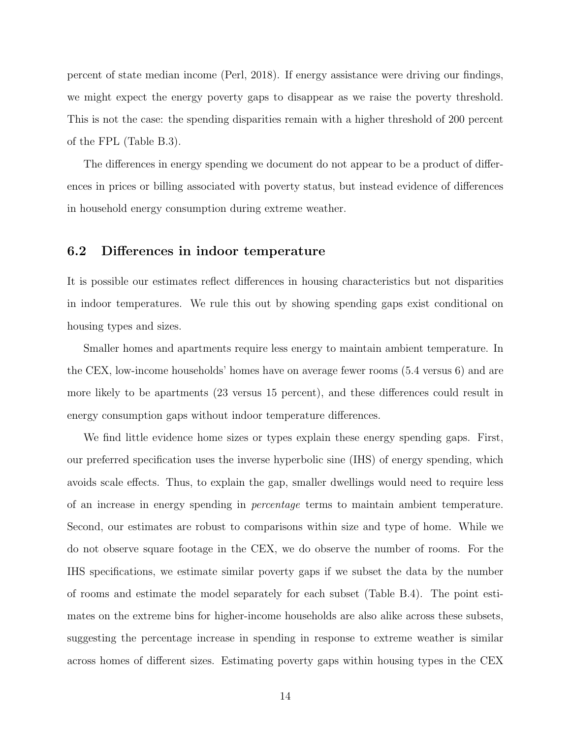percent of state median income [\(Perl, 2018\)](#page-22-1). If energy assistance were driving our findings, we might expect the energy poverty gaps to disappear as we raise the poverty threshold. This is not the case: the spending disparities remain with a higher threshold of 200 percent of the FPL (Table [B.3\)](#page-27-0).

The differences in energy spending we document do not appear to be a product of differences in prices or billing associated with poverty status, but instead evidence of differences in household energy consumption during extreme weather.

#### 6.2 Differences in indoor temperature

It is possible our estimates reflect differences in housing characteristics but not disparities in indoor temperatures. We rule this out by showing spending gaps exist conditional on housing types and sizes.

Smaller homes and apartments require less energy to maintain ambient temperature. In the CEX, low-income households' homes have on average fewer rooms (5.4 versus 6) and are more likely to be apartments (23 versus 15 percent), and these differences could result in energy consumption gaps without indoor temperature differences.

We find little evidence home sizes or types explain these energy spending gaps. First, our preferred specification uses the inverse hyperbolic sine (IHS) of energy spending, which avoids scale effects. Thus, to explain the gap, smaller dwellings would need to require less of an increase in energy spending in percentage terms to maintain ambient temperature. Second, our estimates are robust to comparisons within size and type of home. While we do not observe square footage in the CEX, we do observe the number of rooms. For the IHS specifications, we estimate similar poverty gaps if we subset the data by the number of rooms and estimate the model separately for each subset (Table [B.4\)](#page-28-0). The point estimates on the extreme bins for higher-income households are also alike across these subsets, suggesting the percentage increase in spending in response to extreme weather is similar across homes of different sizes. Estimating poverty gaps within housing types in the CEX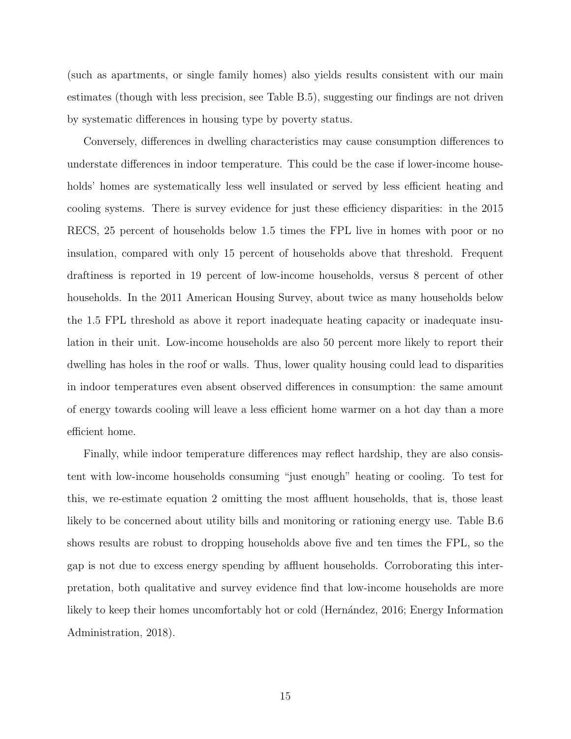(such as apartments, or single family homes) also yields results consistent with our main estimates (though with less precision, see Table [B.5\)](#page-42-0), suggesting our findings are not driven by systematic differences in housing type by poverty status.

Conversely, differences in dwelling characteristics may cause consumption differences to understate differences in indoor temperature. This could be the case if lower-income households' homes are systematically less well insulated or served by less efficient heating and cooling systems. There is survey evidence for just these efficiency disparities: in the 2015 RECS, 25 percent of households below 1.5 times the FPL live in homes with poor or no insulation, compared with only 15 percent of households above that threshold. Frequent draftiness is reported in 19 percent of low-income households, versus 8 percent of other households. In the 2011 American Housing Survey, about twice as many households below the 1.5 FPL threshold as above it report inadequate heating capacity or inadequate insulation in their unit. Low-income households are also 50 percent more likely to report their dwelling has holes in the roof or walls. Thus, lower quality housing could lead to disparities in indoor temperatures even absent observed differences in consumption: the same amount of energy towards cooling will leave a less efficient home warmer on a hot day than a more efficient home.

Finally, while indoor temperature differences may reflect hardship, they are also consistent with low-income households consuming "just enough" heating or cooling. To test for this, we re-estimate equation [2](#page-9-0) omitting the most affluent households, that is, those least likely to be concerned about utility bills and monitoring or rationing energy use. Table [B.6](#page-43-0) shows results are robust to dropping households above five and ten times the FPL, so the gap is not due to excess energy spending by affluent households. Corroborating this interpretation, both qualitative and survey evidence find that low-income households are more likely to keep their homes uncomfortably hot or cold (Hernández, 2016; [Energy Information](#page-20-0) [Administration, 2018\)](#page-20-0).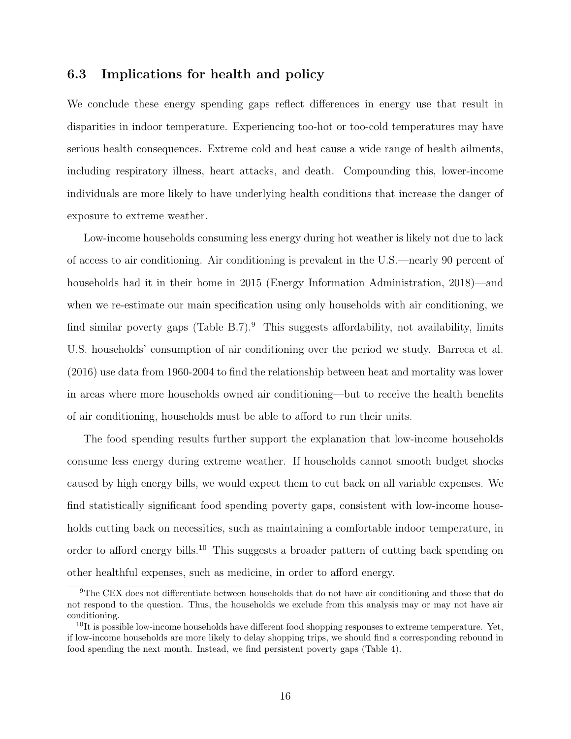### 6.3 Implications for health and policy

We conclude these energy spending gaps reflect differences in energy use that result in disparities in indoor temperature. Experiencing too-hot or too-cold temperatures may have serious health consequences. Extreme cold and heat cause a wide range of health ailments, including respiratory illness, heart attacks, and death. Compounding this, lower-income individuals are more likely to have underlying health conditions that increase the danger of exposure to extreme weather.

Low-income households consuming less energy during hot weather is likely not due to lack of access to air conditioning. Air conditioning is prevalent in the U.S.—nearly 90 percent of households had it in their home in 2015 [\(Energy Information Administration, 2018\)](#page-20-0)—and when we re-estimate our main specification using only households with air conditioning, we find similar poverty gaps (Table [B.7\)](#page-44-0).<sup>[9](#page-0-0)</sup> This suggests affordability, not availability, limits U.S. households' consumption of air conditioning over the period we study. [Barreca et al.](#page-19-0) [\(2016\)](#page-19-0) use data from 1960-2004 to find the relationship between heat and mortality was lower in areas where more households owned air conditioning—but to receive the health benefits of air conditioning, households must be able to afford to run their units.

The food spending results further support the explanation that low-income households consume less energy during extreme weather. If households cannot smooth budget shocks caused by high energy bills, we would expect them to cut back on all variable expenses. We find statistically significant food spending poverty gaps, consistent with low-income households cutting back on necessities, such as maintaining a comfortable indoor temperature, in order to afford energy bills.[10](#page-0-0) This suggests a broader pattern of cutting back spending on other healthful expenses, such as medicine, in order to afford energy.

<sup>9</sup>The CEX does not differentiate between households that do not have air conditioning and those that do not respond to the question. Thus, the households we exclude from this analysis may or may not have air conditioning.

 $10$ It is possible low-income households have different food shopping responses to extreme temperature. Yet, if low-income households are more likely to delay shopping trips, we should find a corresponding rebound in food spending the next month. Instead, we find persistent poverty gaps (Table [4\)](#page-28-0).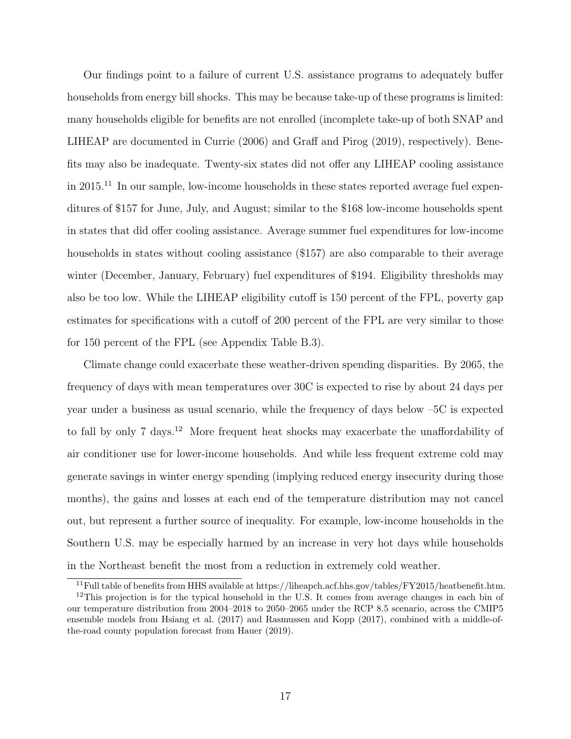Our findings point to a failure of current U.S. assistance programs to adequately buffer households from energy bill shocks. This may be because take-up of these programs is limited: many households eligible for benefits are not enrolled (incomplete take-up of both SNAP and LIHEAP are documented in [Currie](#page-20-8) [\(2006\)](#page-20-8) and [Graff and Pirog](#page-20-9) [\(2019\)](#page-20-9), respectively). Benefits may also be inadequate. Twenty-six states did not offer any LIHEAP cooling assistance in  $2015<sup>11</sup>$  $2015<sup>11</sup>$  $2015<sup>11</sup>$  In our sample, low-income households in these states reported average fuel expenditures of \$157 for June, July, and August; similar to the \$168 low-income households spent in states that did offer cooling assistance. Average summer fuel expenditures for low-income households in states without cooling assistance (\$157) are also comparable to their average winter (December, January, February) fuel expenditures of \$194. Eligibility thresholds may also be too low. While the LIHEAP eligibility cutoff is 150 percent of the FPL, poverty gap estimates for specifications with a cutoff of 200 percent of the FPL are very similar to those for 150 percent of the FPL (see Appendix Table [B.3\)](#page-27-0).

Climate change could exacerbate these weather-driven spending disparities. By 2065, the frequency of days with mean temperatures over 30C is expected to rise by about 24 days per year under a business as usual scenario, while the frequency of days below –5C is expected to fall by only 7 days.<sup>[12](#page-0-0)</sup> More frequent heat shocks may exacerbate the unaffordability of air conditioner use for lower-income households. And while less frequent extreme cold may generate savings in winter energy spending (implying reduced energy insecurity during those months), the gains and losses at each end of the temperature distribution may not cancel out, but represent a further source of inequality. For example, low-income households in the Southern U.S. may be especially harmed by an increase in very hot days while households in the Northeast benefit the most from a reduction in extremely cold weather.

<sup>&</sup>lt;sup>11</sup>Full table of benefits from HHS available at https://liheapch.acf.hhs.gov/tables/FY2015/heatbenefit.htm.

 $12$ This projection is for the typical household in the U.S. It comes from average changes in each bin of our temperature distribution from 2004–2018 to 2050–2065 under the RCP 8.5 scenario, across the CMIP5 ensemble models from [Hsiang et al.](#page-21-5) [\(2017\)](#page-21-5) and [Rasmussen and Kopp](#page-22-5) [\(2017\)](#page-22-5), combined with a middle-ofthe-road county population forecast from [Hauer](#page-21-9) [\(2019\)](#page-21-9).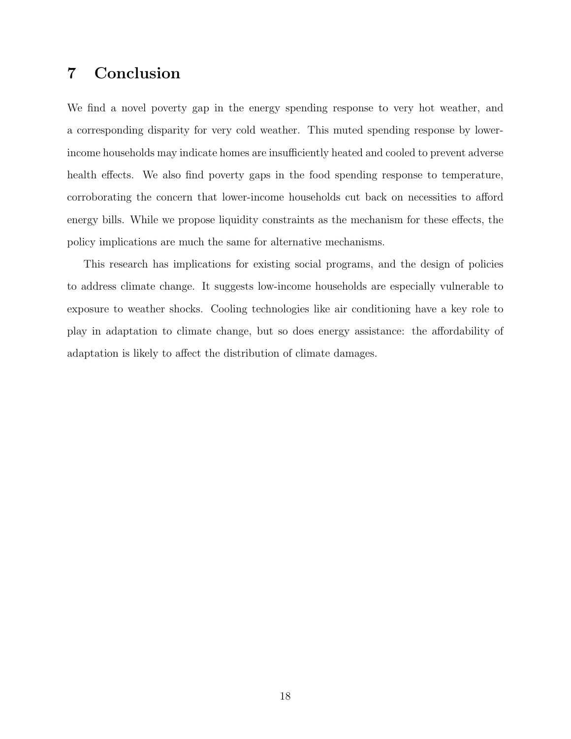### 7 Conclusion

We find a novel poverty gap in the energy spending response to very hot weather, and a corresponding disparity for very cold weather. This muted spending response by lowerincome households may indicate homes are insufficiently heated and cooled to prevent adverse health effects. We also find poverty gaps in the food spending response to temperature, corroborating the concern that lower-income households cut back on necessities to afford energy bills. While we propose liquidity constraints as the mechanism for these effects, the policy implications are much the same for alternative mechanisms.

This research has implications for existing social programs, and the design of policies to address climate change. It suggests low-income households are especially vulnerable to exposure to weather shocks. Cooling technologies like air conditioning have a key role to play in adaptation to climate change, but so does energy assistance: the affordability of adaptation is likely to affect the distribution of climate damages.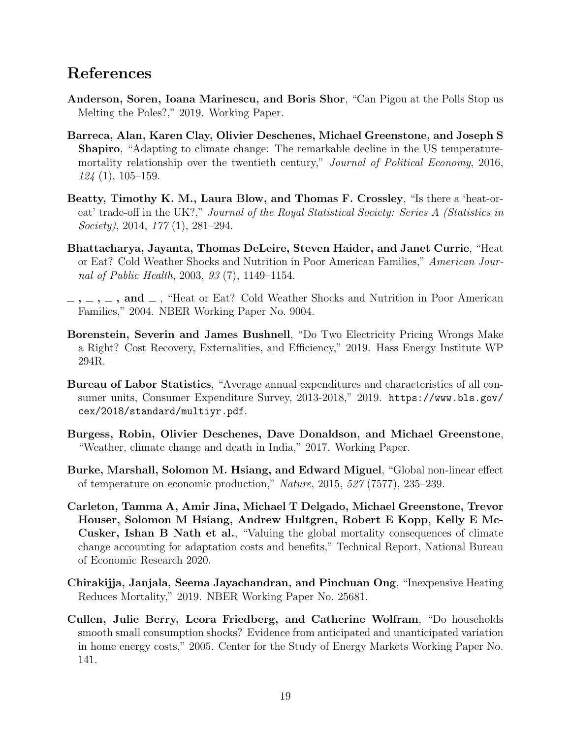### References

- <span id="page-19-1"></span>Anderson, Soren, Ioana Marinescu, and Boris Shor, "Can Pigou at the Polls Stop us Melting the Poles?," 2019. Working Paper.
- <span id="page-19-0"></span>Barreca, Alan, Karen Clay, Olivier Deschenes, Michael Greenstone, and Joseph S Shapiro, "Adapting to climate change: The remarkable decline in the US temperaturemortality relationship over the twentieth century," Journal of Political Economy, 2016,  $124(1), 105-159.$
- <span id="page-19-4"></span>Beatty, Timothy K. M., Laura Blow, and Thomas F. Crossley, "Is there a 'heat-oreat' trade-off in the UK?," Journal of the Royal Statistical Society: Series A (Statistics in Society), 2014, 177 (1), 281–294.
- <span id="page-19-3"></span>Bhattacharya, Jayanta, Thomas DeLeire, Steven Haider, and Janet Currie, "Heat or Eat? Cold Weather Shocks and Nutrition in Poor American Families," American Journal of Public Health, 2003, 93 (7), 1149–1154.
- <span id="page-19-5"></span> $\ldots$ ,  $\ldots$ , and  $\ldots$ , "Heat or Eat? Cold Weather Shocks and Nutrition in Poor American Families," 2004. NBER Working Paper No. 9004.
- <span id="page-19-9"></span>Borenstein, Severin and James Bushnell, "Do Two Electricity Pricing Wrongs Make a Right? Cost Recovery, Externalities, and Efficiency," 2019. Hass Energy Institute WP 294R.
- <span id="page-19-2"></span>Bureau of Labor Statistics, "Average annual expenditures and characteristics of all consumer units, Consumer Expenditure Survey, 2013-2018," 2019. [https://www.bls.gov/](https://www.bls.gov/cex/2018/standard/multiyr.pdf) [cex/2018/standard/multiyr.pdf](https://www.bls.gov/cex/2018/standard/multiyr.pdf).
- <span id="page-19-7"></span>Burgess, Robin, Olivier Deschenes, Dave Donaldson, and Michael Greenstone, "Weather, climate change and death in India," 2017. Working Paper.
- <span id="page-19-11"></span>Burke, Marshall, Solomon M. Hsiang, and Edward Miguel, "Global non-linear effect of temperature on economic production," Nature, 2015, 527 (7577), 235–239.
- <span id="page-19-10"></span>Carleton, Tamma A, Amir Jina, Michael T Delgado, Michael Greenstone, Trevor Houser, Solomon M Hsiang, Andrew Hultgren, Robert E Kopp, Kelly E Mc-Cusker, Ishan B Nath et al., "Valuing the global mortality consequences of climate change accounting for adaptation costs and benefits," Technical Report, National Bureau of Economic Research 2020.
- <span id="page-19-6"></span>Chirakijja, Janjala, Seema Jayachandran, and Pinchuan Ong, "Inexpensive Heating Reduces Mortality," 2019. NBER Working Paper No. 25681.
- <span id="page-19-8"></span>Cullen, Julie Berry, Leora Friedberg, and Catherine Wolfram, "Do households smooth small consumption shocks? Evidence from anticipated and unanticipated variation in home energy costs," 2005. Center for the Study of Energy Markets Working Paper No. 141.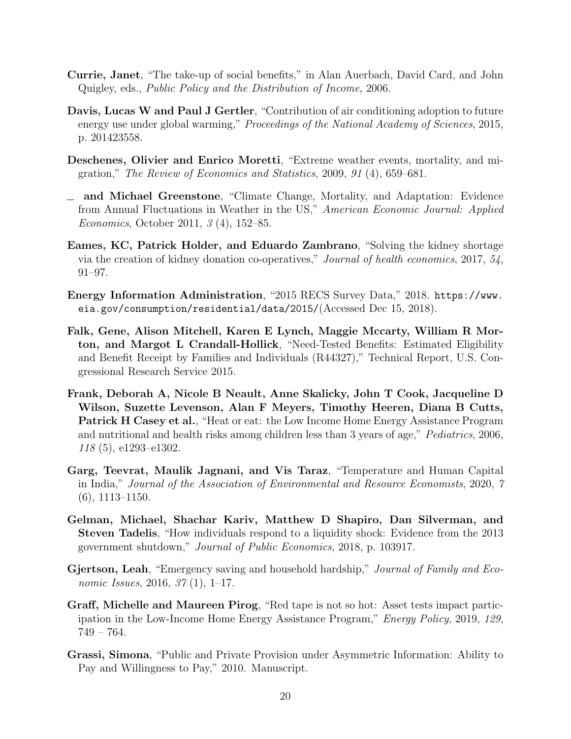- <span id="page-20-8"></span>Currie, Janet, "The take-up of social benefits," in Alan Auerbach, David Card, and John Quigley, eds., Public Policy and the Distribution of Income, 2006.
- <span id="page-20-4"></span>Davis, Lucas W and Paul J Gertler, "Contribution of air conditioning adoption to future energy use under global warming," Proceedings of the National Academy of Sciences, 2015, p. 201423558.
- <span id="page-20-1"></span>Deschenes, Olivier and Enrico Moretti, "Extreme weather events, mortality, and migration," The Review of Economics and Statistics, 2009, 91 (4), 659–681.
- <span id="page-20-5"></span>and Michael Greenstone, "Climate Change, Mortality, and Adaptation: Evidence from Annual Fluctuations in Weather in the US," American Economic Journal: Applied Economics, October 2011, 3 (4), 152–85.
- <span id="page-20-11"></span>Eames, KC, Patrick Holder, and Eduardo Zambrano, "Solving the kidney shortage via the creation of kidney donation co-operatives," Journal of health economics, 2017, 54, 91–97.
- <span id="page-20-0"></span>Energy Information Administration, "2015 RECS Survey Data," 2018. [https://www.](https://www.eia.gov/consumption/residential/data/2015/) [eia.gov/consumption/residential/data/2015/](https://www.eia.gov/consumption/residential/data/2015/)(Accessed Dec 15, 2018).
- <span id="page-20-7"></span>Falk, Gene, Alison Mitchell, Karen E Lynch, Maggie Mccarty, William R Morton, and Margot L Crandall-Hollick, "Need-Tested Benefits: Estimated Eligibility and Benefit Receipt by Families and Individuals (R44327)," Technical Report, U.S. Congressional Research Service 2015.
- <span id="page-20-2"></span>Frank, Deborah A, Nicole B Neault, Anne Skalicky, John T Cook, Jacqueline D Wilson, Suzette Levenson, Alan F Meyers, Timothy Heeren, Diana B Cutts, Patrick H Casey et al., "Heat or eat: the Low Income Home Energy Assistance Program and nutritional and health risks among children less than 3 years of age," Pediatrics, 2006, 118 (5), e1293–e1302.
- <span id="page-20-3"></span>Garg, Teevrat, Maulik Jagnani, and Vis Taraz, "Temperature and Human Capital in India," Journal of the Association of Environmental and Resource Economists, 2020, 7 (6), 1113–1150.
- <span id="page-20-12"></span>Gelman, Michael, Shachar Kariv, Matthew D Shapiro, Dan Silverman, and Steven Tadelis, "How individuals respond to a liquidity shock: Evidence from the 2013 government shutdown," Journal of Public Economics, 2018, p. 103917.
- <span id="page-20-6"></span>Gjertson, Leah, "Emergency saving and household hardship," Journal of Family and Economic Issues, 2016, 37 (1), 1–17.
- <span id="page-20-9"></span>Graff, Michelle and Maureen Pirog, "Red tape is not so hot: Asset tests impact participation in the Low-Income Home Energy Assistance Program," Energy Policy, 2019, 129, 749 – 764.
- <span id="page-20-10"></span>Grassi, Simona, "Public and Private Provision under Asymmetric Information: Ability to Pay and Willingness to Pay," 2010. Manuscript.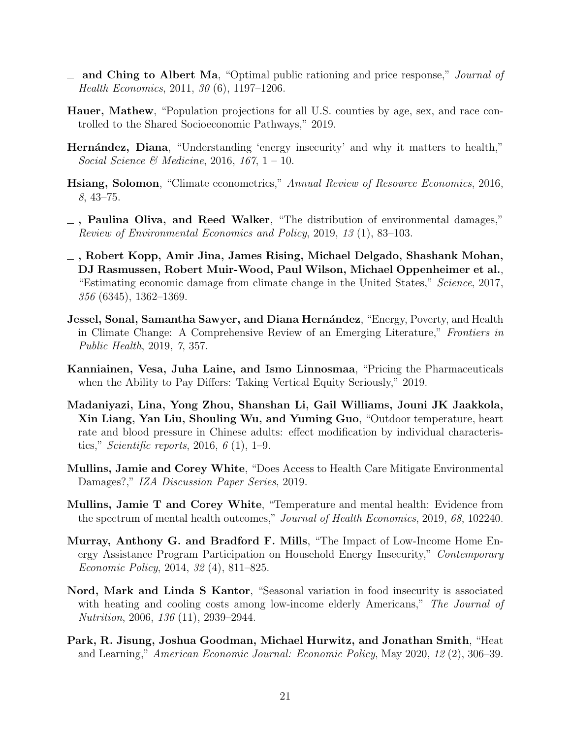- <span id="page-21-10"></span>- and Ching to Albert Ma, "Optimal public rationing and price response," *Journal of* Health Economics, 2011, 30 (6), 1197–1206.
- <span id="page-21-9"></span>Hauer, Mathew, "Population projections for all U.S. counties by age, sex, and race controlled to the Shared Socioeconomic Pathways," 2019.
- <span id="page-21-6"></span>Hernández, Diana, "Understanding 'energy insecurity' and why it matters to health," Social Science & Medicine, 2016, 167,  $1 - 10$ .
- <span id="page-21-8"></span>Hsiang, Solomon, "Climate econometrics," Annual Review of Resource Economics, 2016, 8, 43–75.
- <span id="page-21-13"></span>, Paulina Oliva, and Reed Walker, "The distribution of environmental damages," Review of Environmental Economics and Policy, 2019, 13 (1), 83–103.
- <span id="page-21-5"></span>, Robert Kopp, Amir Jina, James Rising, Michael Delgado, Shashank Mohan, DJ Rasmussen, Robert Muir-Wood, Paul Wilson, Michael Oppenheimer et al., "Estimating economic damage from climate change in the United States," Science, 2017, 356 (6345), 1362–1369.
- <span id="page-21-0"></span>**Jessel, Sonal, Samantha Sawyer, and Diana Hernández**, "Energy, Poverty, and Health in Climate Change: A Comprehensive Review of an Emerging Literature," Frontiers in Public Health, 2019, 7, 357.
- <span id="page-21-11"></span>Kanniainen, Vesa, Juha Laine, and Ismo Linnosmaa, "Pricing the Pharmaceuticals when the Ability to Pay Differs: Taking Vertical Equity Seriously," 2019.
- <span id="page-21-12"></span>Madaniyazi, Lina, Yong Zhou, Shanshan Li, Gail Williams, Jouni JK Jaakkola, Xin Liang, Yan Liu, Shouling Wu, and Yuming Guo, "Outdoor temperature, heart rate and blood pressure in Chinese adults: effect modification by individual characteristics," *Scientific reports*, 2016,  $6(1)$ , 1–9.
- <span id="page-21-4"></span>Mullins, Jamie and Corey White, "Does Access to Health Care Mitigate Environmental Damages?," IZA Discussion Paper Series, 2019.
- <span id="page-21-1"></span>Mullins, Jamie T and Corey White, "Temperature and mental health: Evidence from the spectrum of mental health outcomes," Journal of Health Economics, 2019, 68, 102240.
- <span id="page-21-7"></span>Murray, Anthony G. and Bradford F. Mills, "The Impact of Low-Income Home Energy Assistance Program Participation on Household Energy Insecurity," Contemporary Economic Policy, 2014, 32 (4), 811–825.
- <span id="page-21-3"></span>Nord, Mark and Linda S Kantor, "Seasonal variation in food insecurity is associated with heating and cooling costs among low-income elderly Americans," The Journal of Nutrition, 2006, 136 (11), 2939–2944.
- <span id="page-21-2"></span>Park, R. Jisung, Joshua Goodman, Michael Hurwitz, and Jonathan Smith, "Heat and Learning," American Economic Journal: Economic Policy, May 2020, 12 (2), 306–39.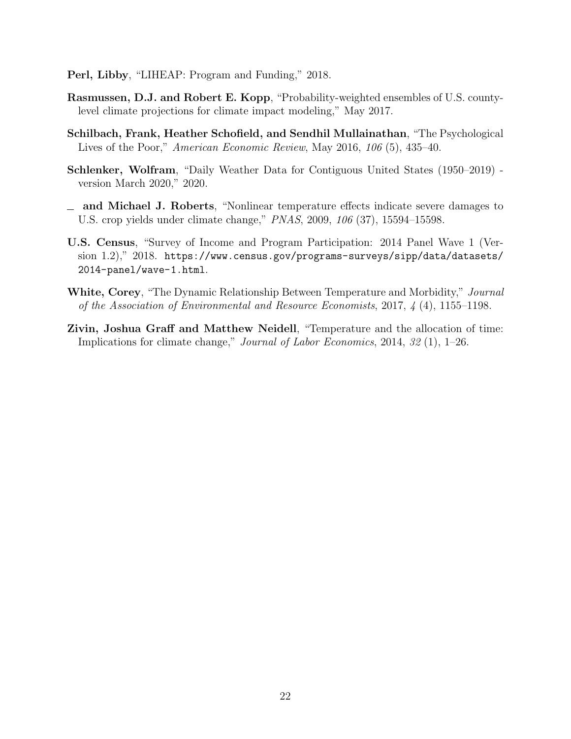- <span id="page-22-1"></span>Perl, Libby, "LIHEAP: Program and Funding," 2018.
- <span id="page-22-5"></span>Rasmussen, D.J. and Robert E. Kopp, "Probability-weighted ensembles of U.S. countylevel climate projections for climate impact modeling," May 2017.
- <span id="page-22-2"></span>Schilbach, Frank, Heather Schofield, and Sendhil Mullainathan, "The Psychological Lives of the Poor," American Economic Review, May 2016, 106 (5), 435–40.
- <span id="page-22-4"></span>Schlenker, Wolfram, "Daily Weather Data for Contiguous United States (1950–2019) version March 2020," 2020.
- <span id="page-22-7"></span>and Michael J. Roberts, "Nonlinear temperature effects indicate severe damages to U.S. crop yields under climate change," PNAS, 2009, 106 (37), 15594–15598.
- <span id="page-22-3"></span>U.S. Census, "Survey of Income and Program Participation: 2014 Panel Wave 1 (Version 1.2)," 2018. [https://www.census.gov/programs-surveys/sipp/data/datasets/](https://www.census.gov/programs-surveys/sipp/data/datasets/2014-panel/wave-1.html) [2014-panel/wave-1.html](https://www.census.gov/programs-surveys/sipp/data/datasets/2014-panel/wave-1.html).
- <span id="page-22-0"></span>White, Corey, "The Dynamic Relationship Between Temperature and Morbidity," Journal of the Association of Environmental and Resource Economists, 2017, 4 (4), 1155–1198.
- <span id="page-22-6"></span>Zivin, Joshua Graff and Matthew Neidell, "Temperature and the allocation of time: Implications for climate change," Journal of Labor Economics, 2014, 32 (1), 1–26.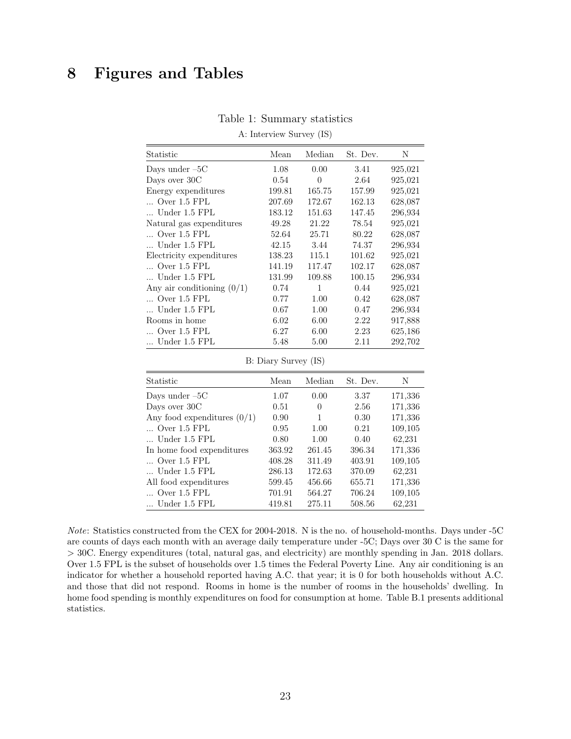## 8 Figures and Tables

| Statistic                    | Mean   | Median   | St. Dev. | N       |
|------------------------------|--------|----------|----------|---------|
| Days under $-5C$             | 1.08   | 0.00     | 3.41     | 925,021 |
| Days over 30C                | 0.54   | $\theta$ | 2.64     | 925,021 |
| Energy expenditures          | 199.81 | 165.75   | 157.99   | 925,021 |
| $\ldots$ Over 1.5 FPL        | 207.69 | 172.67   | 162.13   | 628,087 |
| Under 1.5 FPL                | 183.12 | 151.63   | 147.45   | 296,934 |
| Natural gas expenditures     | 49.28  | 21.22    | 78.54    | 925,021 |
| $\ldots$ Over 1.5 FPL        | 52.64  | 25.71    | 80.22    | 628,087 |
| Under 1.5 FPL                | 42.15  | 3.44     | 74.37    | 296,934 |
| Electricity expenditures     | 138.23 | 115.1    | 101.62   | 925,021 |
| $\ldots$ Over 1.5 FPL        | 141.19 | 117.47   | 102.17   | 628,087 |
| Under 1.5 FPL                | 131.99 | 109.88   | 100.15   | 296,934 |
| Any air conditioning $(0/1)$ | 0.74   | 1        | 0.44     | 925,021 |
| $\ldots$ Over 1.5 FPL        | 0.77   | 1.00     | 0.42     | 628,087 |
| Under 1.5 FPL                | 0.67   | 1.00     | 0.47     | 296,934 |
| Rooms in home                | 6.02   | 6.00     | 2.22     | 917,888 |
| $\ldots$ Over 1.5 FPL        | 6.27   | 6.00     | 2.23     | 625,186 |
| Under 1.5 FPL                | 5.48   | 5.00     | 2.11     | 292,702 |

#### Table 1: Summary statistics

<span id="page-23-0"></span>A: Interview Survey (IS)

B: Diary Survey (IS)

| <b>Statistic</b>              | Mean   | Median | St. Dev. | N       |
|-------------------------------|--------|--------|----------|---------|
| Days under $-5C$              | 1.07   | 0.00   | 3.37     | 171,336 |
| Days over 30C                 | 0.51   | 0      | 2.56     | 171,336 |
| Any food expenditures $(0/1)$ | 0.90   | 1      | 0.30     | 171,336 |
| $\ldots$ Over 1.5 FPL         | 0.95   | 1.00   | 0.21     | 109,105 |
| $\ldots$ Under 1.5 FPL        | 0.80   | 1.00   | 0.40     | 62,231  |
| In home food expenditures     | 363.92 | 261.45 | 396.34   | 171,336 |
| $\ldots$ Over 1.5 FPL         | 408.28 | 311.49 | 403.91   | 109,105 |
| $\ldots$ Under 1.5 FPL        | 286.13 | 172.63 | 370.09   | 62,231  |
| All food expenditures         | 599.45 | 456.66 | 655.71   | 171,336 |
| $\ldots$ Over 1.5 FPL         | 701.91 | 564.27 | 706.24   | 109,105 |
| $\ldots$ Under 1.5 FPL        | 419.81 | 275.11 | 508.56   | 62,231  |

Note: Statistics constructed from the CEX for 2004-2018. N is the no. of household-months. Days under -5C are counts of days each month with an average daily temperature under -5C; Days over 30 C is the same for > 30C. Energy expenditures (total, natural gas, and electricity) are monthly spending in Jan. 2018 dollars. Over 1.5 FPL is the subset of households over 1.5 times the Federal Poverty Line. Any air conditioning is an indicator for whether a household reported having A.C. that year; it is 0 for both households without A.C. and those that did not respond. Rooms in home is the number of rooms in the households' dwelling. In home food spending is monthly expenditures on food for consumption at home. Table [B.1](#page-23-0) presents additional statistics.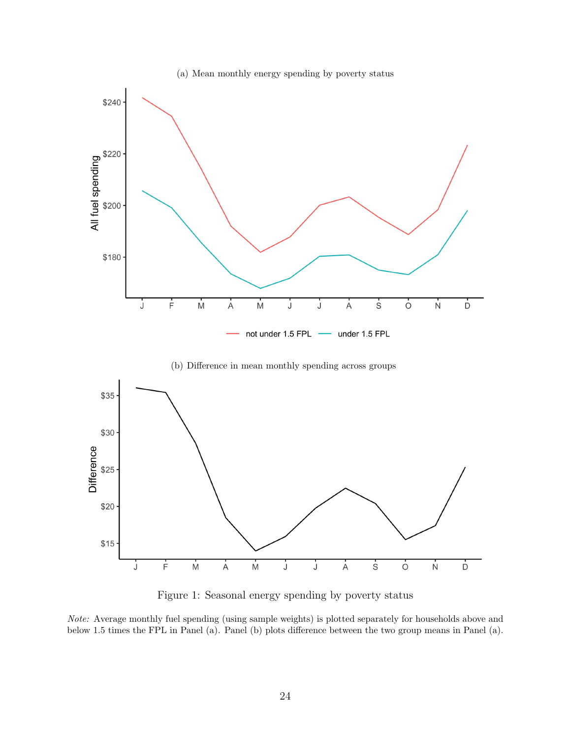



<span id="page-24-0"></span>Figure 1: Seasonal energy spending by poverty status

Note: Average monthly fuel spending (using sample weights) is plotted separately for households above and below 1.5 times the FPL in Panel (a). Panel (b) plots difference between the two group means in Panel (a).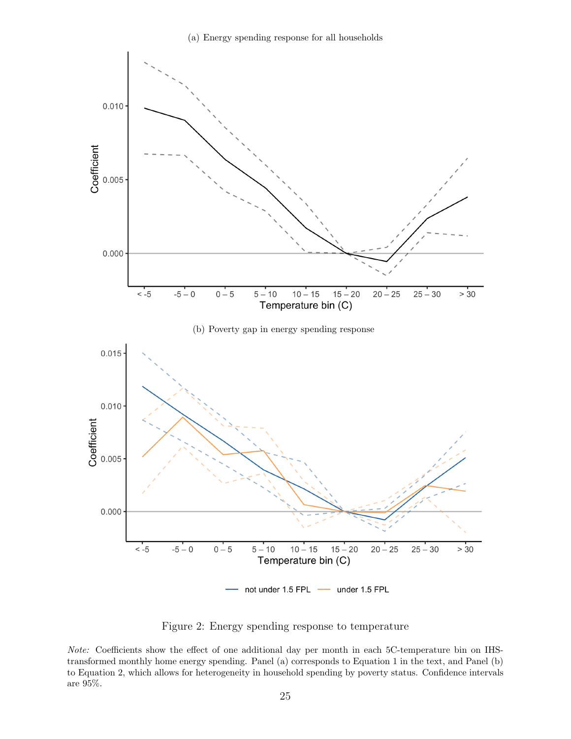

<span id="page-25-0"></span>Figure 2: Energy spending response to temperature

Note: Coefficients show the effect of one additional day per month in each 5C-temperature bin on IHStransformed monthly home energy spending. Panel (a) corresponds to Equation [1](#page-9-1) in the text, and Panel (b) to Equation [2,](#page-9-0) which allows for heterogeneity in household spending by poverty status. Confidence intervals are 95%.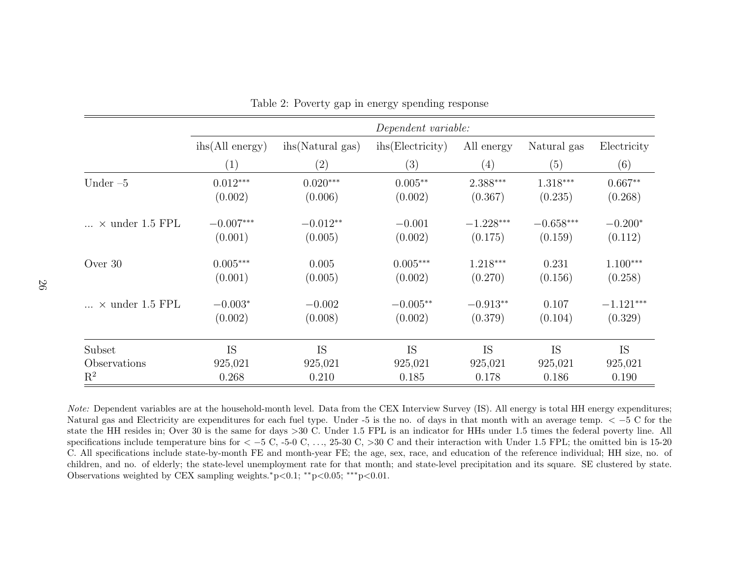|                          |                          | Dependent variable: |                               |             |             |             |  |  |  |
|--------------------------|--------------------------|---------------------|-------------------------------|-------------|-------------|-------------|--|--|--|
|                          | $i\text{hs}(All energy)$ | ihs (Natural gas)   | i <sub>hs</sub> (Electricity) | All energy  | Natural gas | Electricity |  |  |  |
|                          | (1)                      | (2)                 | (3)                           | (4)         | (5)         | (6)         |  |  |  |
| Under $-5$               | $0.012***$               | $0.020***$          | $0.005**$                     | $2.388***$  | $1.318***$  | $0.667**$   |  |  |  |
|                          | (0.002)                  | (0.006)             | (0.002)                       | (0.367)     | (0.235)     | (0.268)     |  |  |  |
| $\ldots$ × under 1.5 FPL | $-0.007***$              | $-0.012**$          | $-0.001$                      | $-1.228***$ | $-0.658***$ | $-0.200*$   |  |  |  |
|                          | (0.001)                  | (0.005)             | (0.002)                       | (0.175)     | (0.159)     | (0.112)     |  |  |  |
| Over 30                  | $0.005***$               | 0.005               | $0.005***$                    | $1.218***$  | 0.231       | $1.100***$  |  |  |  |
|                          | (0.001)                  | (0.005)             | (0.002)                       | (0.270)     | (0.156)     | (0.258)     |  |  |  |
| $\ldots$ × under 1.5 FPL | $-0.003*$                | $-0.002$            | $-0.005**$                    | $-0.913**$  | 0.107       | $-1.121***$ |  |  |  |
|                          | (0.002)                  | (0.008)             | (0.002)                       | (0.379)     | (0.104)     | (0.329)     |  |  |  |
| Subset                   | <b>IS</b>                | IS                  | <b>IS</b>                     | <b>IS</b>   | <b>IS</b>   | <b>IS</b>   |  |  |  |
| Observations             | 925,021                  | 925,021             | 925,021                       | 925,021     | 925,021     | 925,021     |  |  |  |
| $\mathrm{R}^2$           | 0.268                    | 0.210               | 0.185                         | 0.178       | 0.186       | 0.190       |  |  |  |

<span id="page-26-0"></span>Table 2: Poverty gap in energy spending response

Note: Dependent variables are at the household-month level. Data from the CEX Interview Survey (IS). All energy is total HH energy expenditures; Natural gas and Electricity are expenditures for each fuel type. Under -5 is the no. of days in that month with an average temp. < −5 C for the tata in  $\sim$  −5 C for the state in a control in a state of the state in a con state the HH resides in; Over 30 is the same for days <sup>&</sup>gt;<sup>30</sup> C. Under 1.5 FPL is an indicator for HHs under 1.5 times the federal poverty line. All specifications include temperature bins for  $\langle -5 \text{ C}, -5 \text{ C}, \dots, 25 \text{-}30 \text{ C}, \times 30 \text{ C} \text{ and their interaction with Under 1.5 FPL; the omitted bin is 15-20.}$ C. All specifications include state-by-month FE and month-year FE; the age, sex, race, and education of the reference individual; HH size, no. ofchildren, and no. of elderly; the state-level unemployment rate for that month; and state-level precipitation and its square. SE clustered by state.Observations weighted by CEX sampling weights.\*p<0.1; \*\*p<0.05; \*\*\*p<0.01.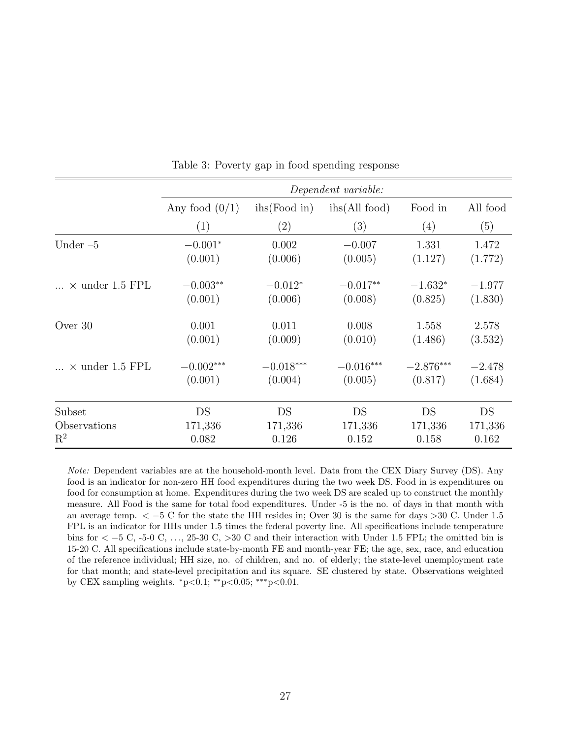|                        |                  | Dependent variable:          |                        |                   |          |  |  |  |
|------------------------|------------------|------------------------------|------------------------|-------------------|----------|--|--|--|
|                        | Any food $(0/1)$ | $i\text{hs}(\text{Food in})$ | $i\text{hs}(All food)$ | Food in           | All food |  |  |  |
|                        | (1)              | $\left( 2\right)$            | (3)                    | $\left( 4\right)$ | (5)      |  |  |  |
| Under $-5$             | $-0.001*$        | 0.002                        | $-0.007$               | 1.331             | 1.472    |  |  |  |
|                        | (0.001)          | (0.006)                      | (0.005)                | (1.127)           | (1.772)  |  |  |  |
| $\times$ under 1.5 FPL | $-0.003**$       | $-0.012*$                    | $-0.017**$             | $-1.632*$         | $-1.977$ |  |  |  |
|                        | (0.001)          | (0.006)                      | (0.008)                | (0.825)           | (1.830)  |  |  |  |
| Over 30                | 0.001            | 0.011                        | 0.008                  | 1.558             | 2.578    |  |  |  |
|                        | (0.001)          | (0.009)                      | (0.010)                | (1.486)           | (3.532)  |  |  |  |
| $\times$ under 1.5 FPL | $-0.002***$      | $-0.018***$                  | $-0.016***$            | $-2.876***$       | $-2.478$ |  |  |  |
|                        | (0.001)          | (0.004)                      | (0.005)                | (0.817)           | (1.684)  |  |  |  |
| Subset                 | DS               | DS                           | DS                     | DS                | DS       |  |  |  |
| Observations           | 171,336          | 171,336                      | 171,336                | 171,336           | 171,336  |  |  |  |
| $\mathrm{R}^2$         | 0.082            | 0.126                        | 0.152                  | 0.158             | 0.162    |  |  |  |

<span id="page-27-0"></span>Table 3: Poverty gap in food spending response

Note: Dependent variables are at the household-month level. Data from the CEX Diary Survey (DS). Any food is an indicator for non-zero HH food expenditures during the two week DS. Food in is expenditures on food for consumption at home. Expenditures during the two week DS are scaled up to construct the monthly measure. All Food is the same for total food expenditures. Under -5 is the no. of days in that month with an average temp. < −5 C for the state the HH resides in; Over 30 is the same for days >30 C. Under 1.5 FPL is an indicator for HHs under 1.5 times the federal poverty line. All specifications include temperature bins for < −5 C, -5-0 C, . . ., 25-30 C, >30 C and their interaction with Under 1.5 FPL; the omitted bin is 15-20 C. All specifications include state-by-month FE and month-year FE; the age, sex, race, and education of the reference individual; HH size, no. of children, and no. of elderly; the state-level unemployment rate for that month; and state-level precipitation and its square. SE clustered by state. Observations weighted by CEX sampling weights.  $*p<0.1$ ;  $*p<0.05$ ;  $**p<0.01$ .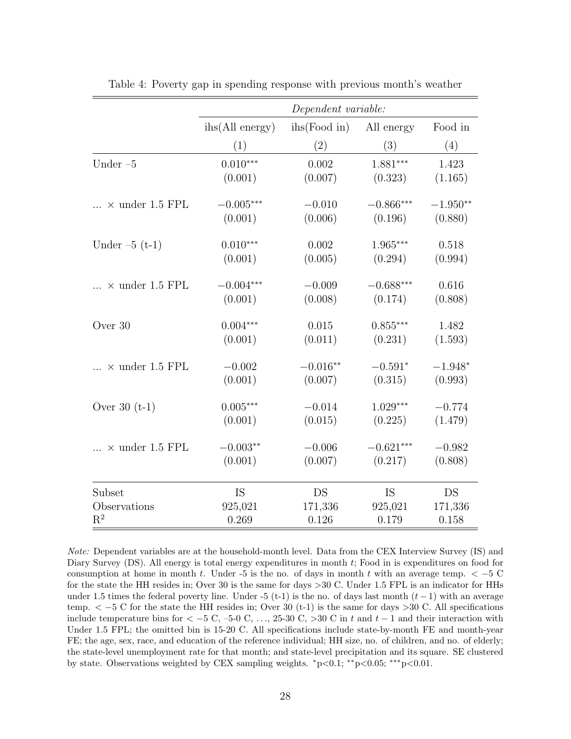|                          |                          | Dependent variable:          |             |            |
|--------------------------|--------------------------|------------------------------|-------------|------------|
|                          | $i\text{hs}(All energy)$ | $i\text{hs}(\text{Food in})$ | All energy  | Food in    |
|                          | (1)                      | (2)                          | (3)         | (4)        |
| Under $-5$               | $0.010***$               | 0.002                        | $1.881***$  | 1.423      |
|                          | (0.001)                  | (0.007)                      | (0.323)     | (1.165)    |
| $\ldots$ × under 1.5 FPL | $-0.005***$              | $-0.010$                     | $-0.866***$ | $-1.950**$ |
|                          | (0.001)                  | (0.006)                      | (0.196)     | (0.880)    |
| Under $-5$ (t-1)         | $0.010***$               | 0.002                        | $1.965***$  | 0.518      |
|                          | (0.001)                  | (0.005)                      | (0.294)     | (0.994)    |
| $\times$ under 1.5 FPL   | $-0.004***$              | $-0.009$                     | $-0.688***$ | 0.616      |
|                          | (0.001)                  | (0.008)                      | (0.174)     | (0.808)    |
| Over 30                  | $0.004***$               | 0.015                        | $0.855***$  | 1.482      |
|                          | (0.001)                  | (0.011)                      | (0.231)     | (1.593)    |
| $\times$ under 1.5 FPL   | $-0.002$                 | $-0.016**$                   | $-0.591*$   | $-1.948*$  |
|                          | (0.001)                  | (0.007)                      | (0.315)     | (0.993)    |
| Over $30(t-1)$           | $0.005***$               | $-0.014$                     | $1.029***$  | $-0.774$   |
|                          | (0.001)                  | (0.015)                      | (0.225)     | (1.479)    |
| $\times$ under 1.5 FPL   | $-0.003**$               | $-0.006$                     | $-0.621***$ | $-0.982$   |
|                          | (0.001)                  | (0.007)                      | (0.217)     | (0.808)    |
| Subset                   | <b>IS</b>                | DS                           | IS          | DS         |
| Observations             | 925,021                  | 171,336                      | 925,021     | 171,336    |
| $\mathbf{R}^2$           | 0.269                    | 0.126                        | 0.179       | 0.158      |

<span id="page-28-0"></span>Table 4: Poverty gap in spending response with previous month's weather

Note: Dependent variables are at the household-month level. Data from the CEX Interview Survey (IS) and Diary Survey (DS). All energy is total energy expenditures in month t; Food in is expenditures on food for consumption at home in month t. Under -5 is the no. of days in month t with an average temp.  $\lt -5$  C for the state the HH resides in; Over 30 is the same for days >30 C. Under 1.5 FPL is an indicator for HHs under 1.5 times the federal poverty line. Under -5 (t-1) is the no. of days last month  $(t-1)$  with an average temp.  $\lt -5$  C for the state the HH resides in; Over 30 (t-1) is the same for days >30 C. All specifications include temperature bins for  $\lt$  –5 C, –5-0 C, ..., 25-30 C, >30 C in t and t – 1 and their interaction with Under 1.5 FPL; the omitted bin is 15-20 C. All specifications include state-by-month FE and month-year FE; the age, sex, race, and education of the reference individual; HH size, no. of children, and no. of elderly; the state-level unemployment rate for that month; and state-level precipitation and its square. SE clustered by state. Observations weighted by CEX sampling weights. <sup>∗</sup>p<0.1; ∗∗p<0.05; ∗∗∗p<0.01.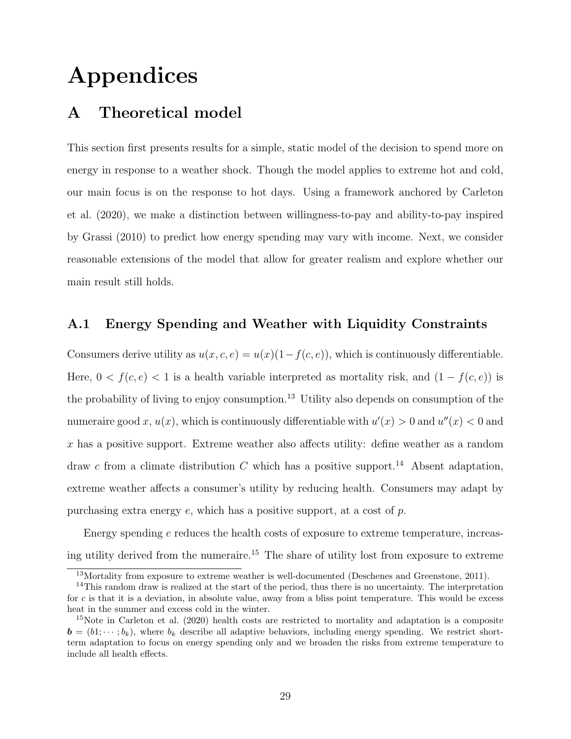# Appendices

## <span id="page-29-0"></span>A Theoretical model

This section first presents results for a simple, static model of the decision to spend more on energy in response to a weather shock. Though the model applies to extreme hot and cold, our main focus is on the response to hot days. Using a framework anchored by [Carleton](#page-19-10) [et al.](#page-19-10) [\(2020\)](#page-19-10), we make a distinction between willingness-to-pay and ability-to-pay inspired by [Grassi](#page-20-10) [\(2010\)](#page-20-10) to predict how energy spending may vary with income. Next, we consider reasonable extensions of the model that allow for greater realism and explore whether our main result still holds.

### A.1 Energy Spending and Weather with Liquidity Constraints

Consumers derive utility as  $u(x, c, e) = u(x)(1-f(c, e))$ , which is continuously differentiable. Here,  $0 < f(c, e) < 1$  is a health variable interpreted as mortality risk, and  $(1 - f(c, e))$  is the probability of living to enjoy consumption.<sup>[13](#page-0-0)</sup> Utility also depends on consumption of the numeraire good x,  $u(x)$ , which is continuously differentiable with  $u'(x) > 0$  and  $u''(x) < 0$  and x has a positive support. Extreme weather also affects utility: define weather as a random draw c from a climate distribution C which has a positive support.<sup>[14](#page-0-0)</sup> Absent adaptation, extreme weather affects a consumer's utility by reducing health. Consumers may adapt by purchasing extra energy  $e$ , which has a positive support, at a cost of  $p$ .

Energy spending  $e$  reduces the health costs of exposure to extreme temperature, increas-ing utility derived from the numeraire.<sup>[15](#page-0-0)</sup> The share of utility lost from exposure to extreme

<sup>&</sup>lt;sup>13</sup>Mortality from exposure to extreme weather is well-documented [\(Deschenes and Greenstone, 2011\)](#page-20-5).

 $14$ This random draw is realized at the start of the period, thus there is no uncertainty. The interpretation for c is that it is a deviation, in absolute value, away from a bliss point temperature. This would be excess heat in the summer and excess cold in the winter.

<sup>&</sup>lt;sup>15</sup>Note in [Carleton et al.](#page-19-10) [\(2020\)](#page-19-10) health costs are restricted to mortality and adaptation is a composite  $\mathbf{b} = (b_1; \dots; b_k)$ , where  $b_k$  describe all adaptive behaviors, including energy spending. We restrict shortterm adaptation to focus on energy spending only and we broaden the risks from extreme temperature to include all health effects.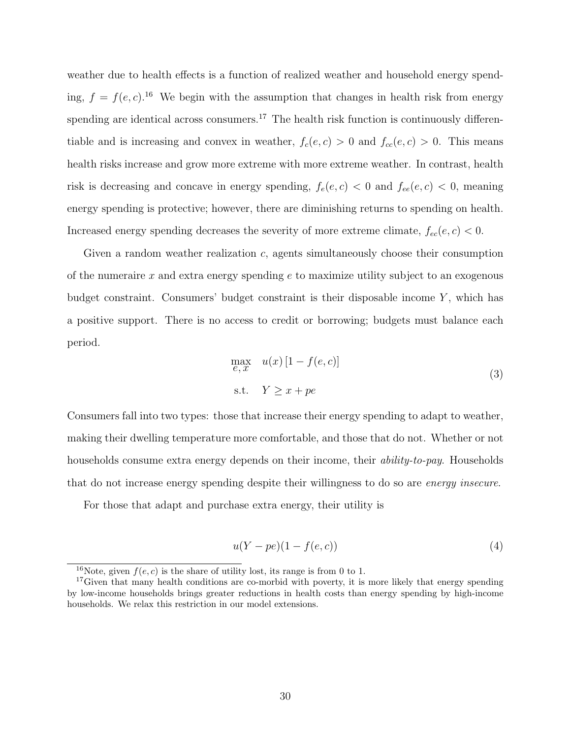weather due to health effects is a function of realized weather and household energy spending,  $f = f(e, c)$ .<sup>[16](#page-0-0)</sup> We begin with the assumption that changes in health risk from energy spending are identical across consumers.<sup>[17](#page-0-0)</sup> The health risk function is continuously differentiable and is increasing and convex in weather,  $f_c(e, c) > 0$  and  $f_{cc}(e, c) > 0$ . This means health risks increase and grow more extreme with more extreme weather. In contrast, health risk is decreasing and concave in energy spending,  $f_e(e, c) < 0$  and  $f_{ee}(e, c) < 0$ , meaning energy spending is protective; however, there are diminishing returns to spending on health. Increased energy spending decreases the severity of more extreme climate,  $f_{ec}(e, c) < 0$ .

Given a random weather realization c, agents simultaneously choose their consumption of the numeraire  $x$  and extra energy spending  $e$  to maximize utility subject to an exogenous budget constraint. Consumers' budget constraint is their disposable income  $Y$ , which has a positive support. There is no access to credit or borrowing; budgets must balance each period.

$$
\max_{e,x} u(x) [1 - f(e, c)]
$$
  
s.t.  $Y \ge x + pe$  (3)

Consumers fall into two types: those that increase their energy spending to adapt to weather, making their dwelling temperature more comfortable, and those that do not. Whether or not households consume extra energy depends on their income, their *ability-to-pay*. Households that do not increase energy spending despite their willingness to do so are energy insecure.

For those that adapt and purchase extra energy, their utility is

$$
u(Y - pe)(1 - f(e, c))\tag{4}
$$

<sup>&</sup>lt;sup>16</sup>Note, given  $f(e, c)$  is the share of utility lost, its range is from 0 to 1.

<sup>&</sup>lt;sup>17</sup>Given that many health conditions are co-morbid with poverty, it is more likely that energy spending by low-income households brings greater reductions in health costs than energy spending by high-income households. We relax this restriction in our model extensions.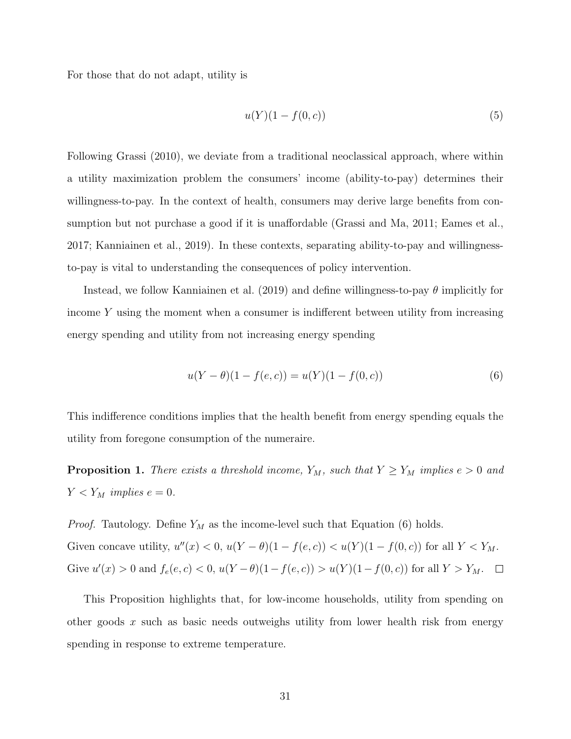For those that do not adapt, utility is

$$
u(Y)(1 - f(0, c))\tag{5}
$$

Following [Grassi](#page-20-10) [\(2010\)](#page-20-10), we deviate from a traditional neoclassical approach, where within a utility maximization problem the consumers' income (ability-to-pay) determines their willingness-to-pay. In the context of health, consumers may derive large benefits from consumption but not purchase a good if it is unaffordable [\(Grassi and Ma, 2011;](#page-21-10) [Eames et al.,](#page-20-11) [2017;](#page-20-11) [Kanniainen et al., 2019\)](#page-21-11). In these contexts, separating ability-to-pay and willingnessto-pay is vital to understanding the consequences of policy intervention.

Instead, we follow [Kanniainen et al.](#page-21-11) [\(2019\)](#page-21-11) and define willingness-to-pay  $\theta$  implicitly for income  $Y$  using the moment when a consumer is indifferent between utility from increasing energy spending and utility from not increasing energy spending

<span id="page-31-0"></span>
$$
u(Y - \theta)(1 - f(e, c)) = u(Y)(1 - f(0, c))
$$
\n(6)

This indifference conditions implies that the health benefit from energy spending equals the utility from foregone consumption of the numeraire.

<span id="page-31-1"></span>**Proposition 1.** There exists a threshold income,  $Y_M$ , such that  $Y \ge Y_M$  implies  $e > 0$  and  $Y < Y_M$  implies  $e = 0$ .

*Proof.* Tautology. Define  $Y_M$  as the income-level such that Equation [\(6\)](#page-31-0) holds. Given concave utility,  $u''(x) < 0$ ,  $u(Y - \theta)(1 - f(e, c)) < u(Y)(1 - f(0, c))$  for all  $Y < Y_M$ . Give  $u'(x) > 0$  and  $f_e(e, c) < 0$ ,  $u(Y - \theta)(1 - f(e, c)) > u(Y)(1 - f(0, c))$  for all  $Y > Y_M$ .

This Proposition highlights that, for low-income households, utility from spending on other goods  $x$  such as basic needs outweighs utility from lower health risk from energy spending in response to extreme temperature.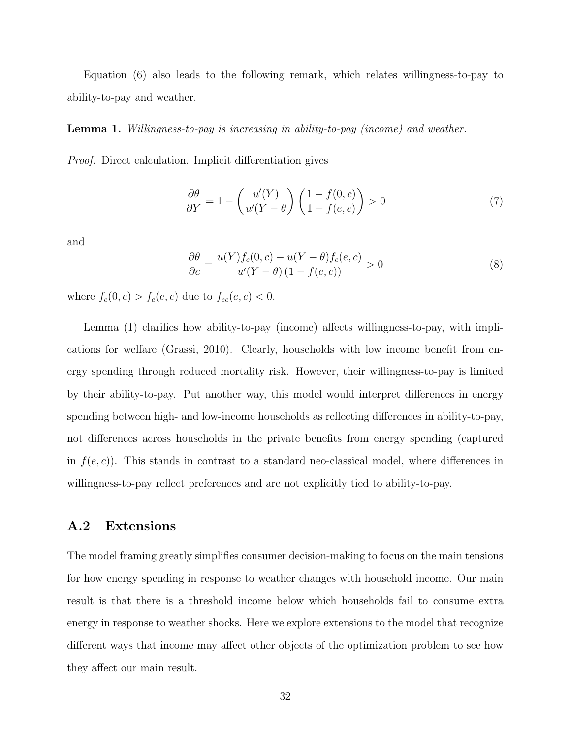Equation [\(6\)](#page-31-0) also leads to the following remark, which relates willingness-to-pay to ability-to-pay and weather.

<span id="page-32-0"></span>Lemma 1. Willingness-to-pay is increasing in ability-to-pay (income) and weather.

Proof. Direct calculation. Implicit differentiation gives

$$
\frac{\partial \theta}{\partial Y} = 1 - \left(\frac{u'(Y)}{u'(Y - \theta)}\right) \left(\frac{1 - f(0, c)}{1 - f(e, c)}\right) > 0\tag{7}
$$

and

$$
\frac{\partial \theta}{\partial c} = \frac{u(Y)f_c(0, c) - u(Y - \theta)f_c(e, c)}{u'(Y - \theta)(1 - f(e, c))} > 0
$$
\n(8)

 $\Box$ 

where  $f_c(0, c) > f_c(e, c)$  due to  $f_{ec}(e, c) < 0$ .

Lemma [\(1\)](#page-32-0) clarifies how ability-to-pay (income) affects willingness-to-pay, with implications for welfare [\(Grassi, 2010\)](#page-20-10). Clearly, households with low income benefit from energy spending through reduced mortality risk. However, their willingness-to-pay is limited by their ability-to-pay. Put another way, this model would interpret differences in energy spending between high- and low-income households as reflecting differences in ability-to-pay, not differences across households in the private benefits from energy spending (captured in  $f(e, c)$ . This stands in contrast to a standard neo-classical model, where differences in willingness-to-pay reflect preferences and are not explicitly tied to ability-to-pay.

#### A.2 Extensions

The model framing greatly simplifies consumer decision-making to focus on the main tensions for how energy spending in response to weather changes with household income. Our main result is that there is a threshold income below which households fail to consume extra energy in response to weather shocks. Here we explore extensions to the model that recognize different ways that income may affect other objects of the optimization problem to see how they affect our main result.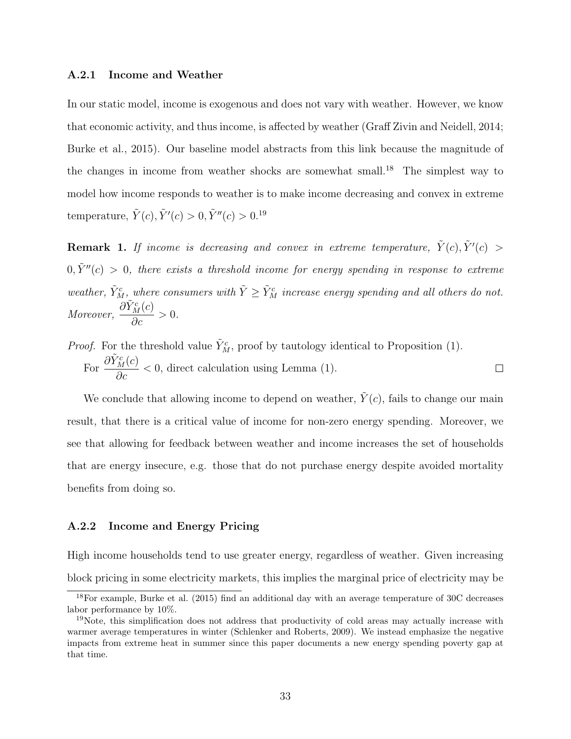#### A.2.1 Income and Weather

In our static model, income is exogenous and does not vary with weather. However, we know that economic activity, and thus income, is affected by weather [\(Graff Zivin and Neidell, 2014;](#page-22-6) [Burke et al., 2015\)](#page-19-11). Our baseline model abstracts from this link because the magnitude of the changes in income from weather shocks are somewhat small.[18](#page-0-0) The simplest way to model how income responds to weather is to make income decreasing and convex in extreme temperature,  $\tilde{Y}(c), \tilde{Y}'(c) > 0, \tilde{Y}''(c) > 0.19$  $\tilde{Y}(c), \tilde{Y}'(c) > 0, \tilde{Y}''(c) > 0.19$ 

**Remark 1.** If income is decreasing and convex in extreme temperature,  $\tilde{Y}(c), \tilde{Y}'(c) > 0$  $0, \tilde{Y}''(c) > 0$ , there exists a threshold income for energy spending in response to extreme weather,  $\tilde{Y}_M^c$ , where consumers with  $\tilde{Y} \geq \tilde{Y}_M^c$  increase energy spending and all others do not. Moreover,  $\frac{\partial \tilde{Y}_M^c(c)}{\partial x}$  $\frac{M(S)}{\partial c} > 0.$ 

*Proof.* For the threshold value  $\tilde{Y}_M^c$ , proof by tautology identical to Proposition [\(1\)](#page-31-1). For  $\frac{\partial \tilde{Y}_M^c(c)}{\partial}$  $\frac{M(C)}{\partial c}$  < 0, direct calculation using Lemma [\(1\)](#page-32-0).  $\Box$ 

We conclude that allowing income to depend on weather,  $\tilde{Y}(c)$ , fails to change our main result, that there is a critical value of income for non-zero energy spending. Moreover, we see that allowing for feedback between weather and income increases the set of households that are energy insecure, e.g. those that do not purchase energy despite avoided mortality benefits from doing so.

#### A.2.2 Income and Energy Pricing

High income households tend to use greater energy, regardless of weather. Given increasing block pricing in some electricity markets, this implies the marginal price of electricity may be

<sup>18</sup>For example, [Burke et al.](#page-19-11) [\(2015\)](#page-19-11) find an additional day with an average temperature of 30C decreases labor performance by 10%.

<sup>&</sup>lt;sup>19</sup>Note, this simplification does not address that productivity of cold areas may actually increase with warmer average temperatures in winter [\(Schlenker and Roberts, 2009\)](#page-22-7). We instead emphasize the negative impacts from extreme heat in summer since this paper documents a new energy spending poverty gap at that time.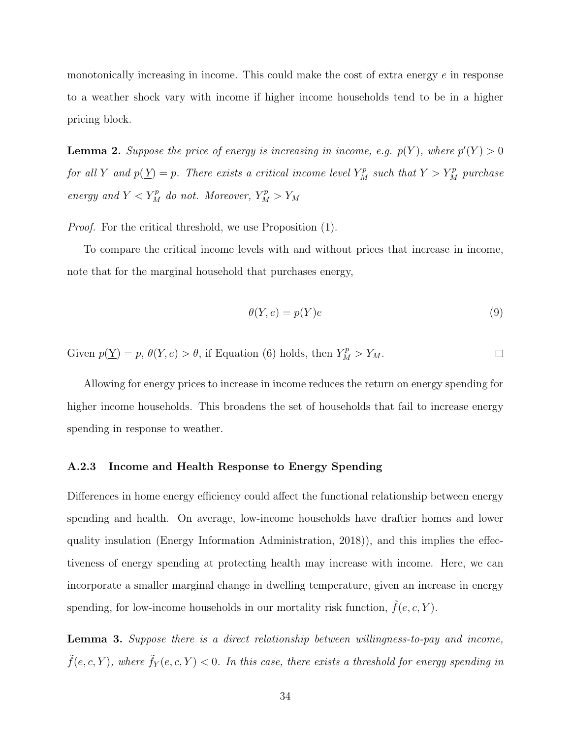monotonically increasing in income. This could make the cost of extra energy  $e$  in response to a weather shock vary with income if higher income households tend to be in a higher pricing block.

**Lemma 2.** Suppose the price of energy is increasing in income, e.g.  $p(Y)$ , where  $p'(Y) > 0$ for all Y and  $p(\underline{Y}) = p$ . There exists a critical income level  $Y_M^p$  such that  $Y > Y_M^p$  purchase energy and  $Y < Y_M^p$  do not. Moreover,  $Y_M^p > Y_M$ 

Proof. For the critical threshold, we use Proposition [\(1\)](#page-31-1).

To compare the critical income levels with and without prices that increase in income, note that for the marginal household that purchases energy,

$$
\theta(Y, e) = p(Y)e \tag{9}
$$

Given  $p(\underline{Y}) = p$ ,  $\theta(Y, e) > \theta$ , if Equation [\(6\)](#page-31-0) holds, then  $Y_M^p > Y_M$ .  $\Box$ 

Allowing for energy prices to increase in income reduces the return on energy spending for higher income households. This broadens the set of households that fail to increase energy spending in response to weather.

#### A.2.3 Income and Health Response to Energy Spending

Differences in home energy efficiency could affect the functional relationship between energy spending and health. On average, low-income households have draftier homes and lower quality insulation [\(Energy Information Administration, 2018\)](#page-20-0)), and this implies the effectiveness of energy spending at protecting health may increase with income. Here, we can incorporate a smaller marginal change in dwelling temperature, given an increase in energy spending, for low-income households in our mortality risk function,  $\tilde{f}(e, c, Y)$ .

Lemma 3. Suppose there is a direct relationship between willingness-to-pay and income,  $\tilde{f}(e, c, Y)$ , where  $\tilde{f}_Y(e, c, Y) < 0$ . In this case, there exists a threshold for energy spending in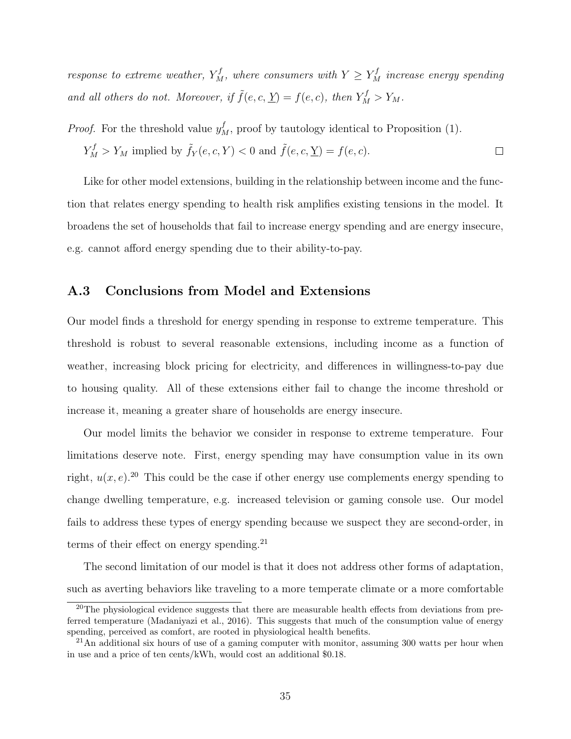response to extreme weather,  $Y_M^f$ , where consumers with  $Y \ge Y_M^f$  increase energy spending and all others do not. Moreover, if  $\tilde{f}(e, c, \underline{Y}) = f(e, c)$ , then  $Y_M^f > Y_M$ .

*Proof.* For the threshold value  $y_M^f$ , proof by tautology identical to Proposition [\(1\)](#page-31-1).

$$
Y_M^f > Y_M
$$
 implied by  $\tilde{f}_Y(e, c, Y) < 0$  and  $\tilde{f}(e, c, \underline{Y}) = f(e, c)$ .

Like for other model extensions, building in the relationship between income and the function that relates energy spending to health risk amplifies existing tensions in the model. It broadens the set of households that fail to increase energy spending and are energy insecure, e.g. cannot afford energy spending due to their ability-to-pay.

#### A.3 Conclusions from Model and Extensions

Our model finds a threshold for energy spending in response to extreme temperature. This threshold is robust to several reasonable extensions, including income as a function of weather, increasing block pricing for electricity, and differences in willingness-to-pay due to housing quality. All of these extensions either fail to change the income threshold or increase it, meaning a greater share of households are energy insecure.

Our model limits the behavior we consider in response to extreme temperature. Four limitations deserve note. First, energy spending may have consumption value in its own right,  $u(x, e)$ .<sup>[20](#page-0-0)</sup> This could be the case if other energy use complements energy spending to change dwelling temperature, e.g. increased television or gaming console use. Our model fails to address these types of energy spending because we suspect they are second-order, in terms of their effect on energy spending. $^{21}$  $^{21}$  $^{21}$ 

The second limitation of our model is that it does not address other forms of adaptation, such as averting behaviors like traveling to a more temperate climate or a more comfortable

<sup>&</sup>lt;sup>20</sup>The physiological evidence suggests that there are measurable health effects from deviations from preferred temperature [\(Madaniyazi et al., 2016\)](#page-21-12). This suggests that much of the consumption value of energy spending, perceived as comfort, are rooted in physiological health benefits.

<sup>&</sup>lt;sup>21</sup>An additional six hours of use of a gaming computer with monitor, assuming 300 watts per hour when in use and a price of ten cents/kWh, would cost an additional \$0.18.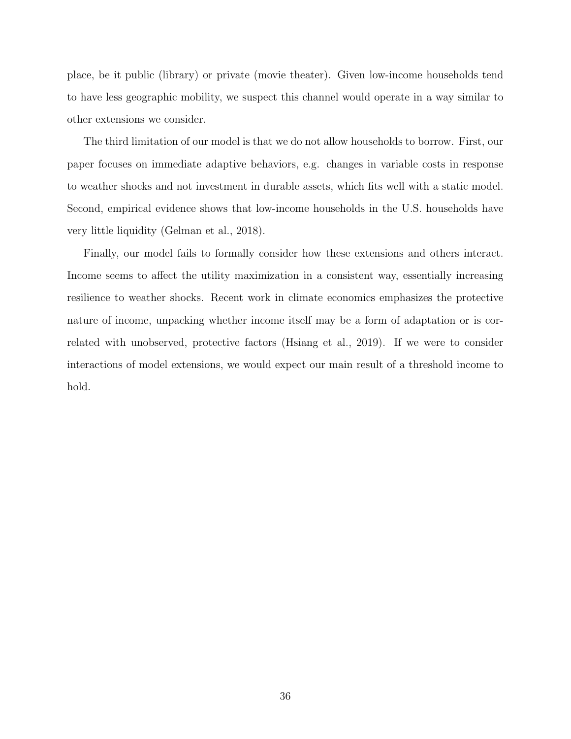place, be it public (library) or private (movie theater). Given low-income households tend to have less geographic mobility, we suspect this channel would operate in a way similar to other extensions we consider.

The third limitation of our model is that we do not allow households to borrow. First, our paper focuses on immediate adaptive behaviors, e.g. changes in variable costs in response to weather shocks and not investment in durable assets, which fits well with a static model. Second, empirical evidence shows that low-income households in the U.S. households have very little liquidity [\(Gelman et al., 2018\)](#page-20-12).

Finally, our model fails to formally consider how these extensions and others interact. Income seems to affect the utility maximization in a consistent way, essentially increasing resilience to weather shocks. Recent work in climate economics emphasizes the protective nature of income, unpacking whether income itself may be a form of adaptation or is correlated with unobserved, protective factors [\(Hsiang et al., 2019\)](#page-21-13). If we were to consider interactions of model extensions, we would expect our main result of a threshold income to hold.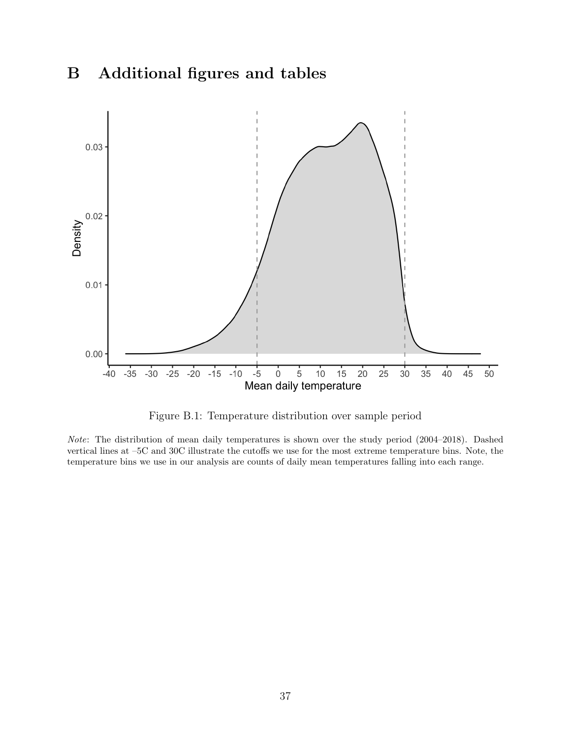# B Additional figures and tables



Figure B.1: Temperature distribution over sample period

Note: The distribution of mean daily temperatures is shown over the study period (2004–2018). Dashed vertical lines at –5C and 30C illustrate the cutoffs we use for the most extreme temperature bins. Note, the temperature bins we use in our analysis are counts of daily mean temperatures falling into each range.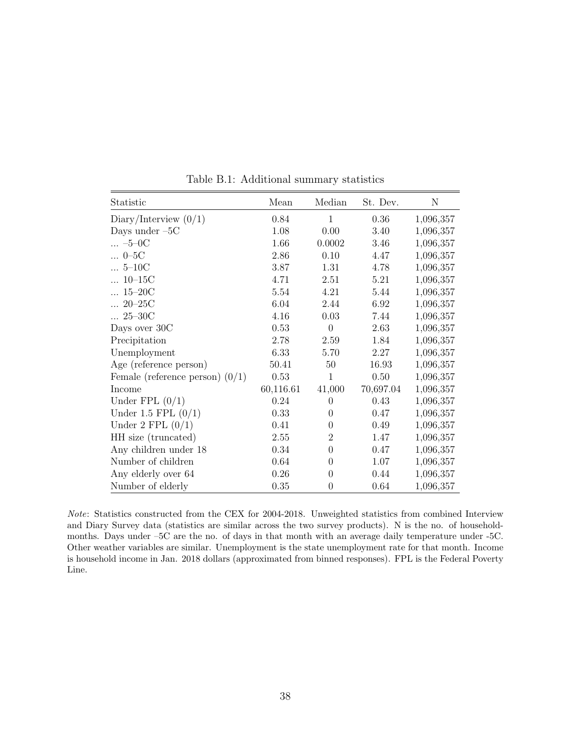| Statistic                         | Mean      | Median         | St. Dev.  | N         |
|-----------------------------------|-----------|----------------|-----------|-----------|
| Diary/Interview $(0/1)$           | 0.84      | 1              | 0.36      | 1,096,357 |
| Days under $-5C$                  | 1.08      | 0.00           | 3.40      | 1,096,357 |
| $ -5 -0C$                         | 1.66      | 0.0002         | 3.46      | 1,096,357 |
| $ 0 - 5C$                         | 2.86      | 0.10           | 4.47      | 1,096,357 |
| $ 5-10C$                          | 3.87      | 1.31           | 4.78      | 1,096,357 |
| $10 - 15C$                        | 4.71      | 2.51           | 5.21      | 1,096,357 |
| $\ldots 15 - 20C$                 | 5.54      | 4.21           | 5.44      | 1,096,357 |
| $20 - 25C$                        | 6.04      | 2.44           | 6.92      | 1,096,357 |
| $ 25 - 30C$                       | 4.16      | 0.03           | 7.44      | 1,096,357 |
| Days over 30C                     | 0.53      | $\overline{0}$ | 2.63      | 1,096,357 |
| Precipitation                     | 2.78      | 2.59           | 1.84      | 1,096,357 |
| Unemployment                      | 6.33      | 5.70           | 2.27      | 1,096,357 |
| Age (reference person)            | 50.41     | 50             | 16.93     | 1,096,357 |
| Female (reference person) $(0/1)$ | 0.53      | 1              | 0.50      | 1,096,357 |
| Income                            | 60,116.61 | 41,000         | 70,697.04 | 1,096,357 |
| Under FPL $(0/1)$                 | 0.24      | $\theta$       | 0.43      | 1,096,357 |
| Under $1.5$ FPL $(0/1)$           | 0.33      | $\Omega$       | 0.47      | 1,096,357 |
| Under 2 FPL $(0/1)$               | 0.41      | $\theta$       | 0.49      | 1,096,357 |
| HH size (truncated)               | 2.55      | $\overline{2}$ | 1.47      | 1,096,357 |
| Any children under 18             | 0.34      | $\overline{0}$ | 0.47      | 1,096,357 |
| Number of children                | 0.64      | $\theta$       | 1.07      | 1,096,357 |
| Any elderly over 64               | 0.26      | $\theta$       | 0.44      | 1,096,357 |
| Number of elderly                 | 0.35      | 0              | 0.64      | 1,096,357 |

Table B.1: Additional summary statistics

Note: Statistics constructed from the CEX for 2004-2018. Unweighted statistics from combined Interview and Diary Survey data (statistics are similar across the two survey products). N is the no. of householdmonths. Days under –5C are the no. of days in that month with an average daily temperature under -5C. Other weather variables are similar. Unemployment is the state unemployment rate for that month. Income is household income in Jan. 2018 dollars (approximated from binned responses). FPL is the Federal Poverty Line.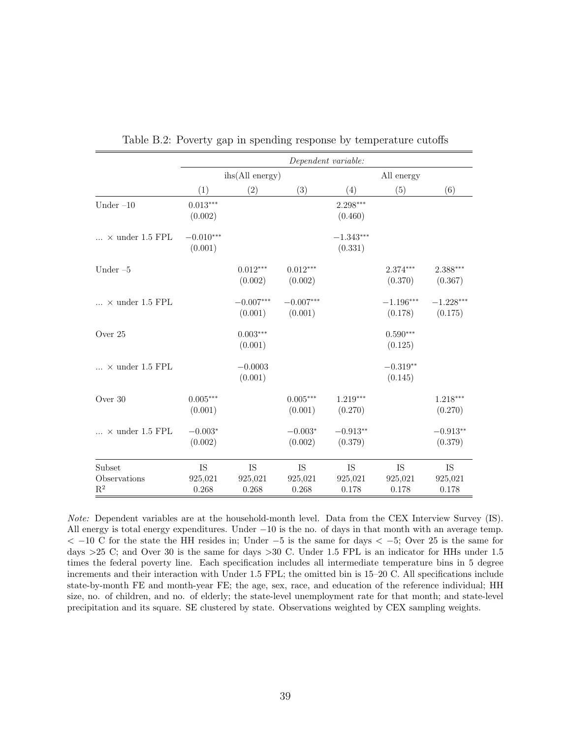|                                   |                        |                        |                        | Dependent variable:    |                        |                        |  |
|-----------------------------------|------------------------|------------------------|------------------------|------------------------|------------------------|------------------------|--|
|                                   |                        | ihs(All energy)        |                        | All energy             |                        |                        |  |
|                                   | (1)                    | (2)                    | (3)                    | (4)                    | (5)                    | (6)                    |  |
| Under $-10$                       | $0.013***$<br>(0.002)  |                        |                        | 2.298***<br>(0.460)    |                        |                        |  |
| $\ldots$ × under 1.5 FPL          | $-0.010***$<br>(0.001) |                        |                        | $-1.343***$<br>(0.331) |                        |                        |  |
| Under $-5$                        |                        | $0.012***$<br>(0.002)  | $0.012***$<br>(0.002)  |                        | $2.374***$<br>(0.370)  | $2.388***$<br>(0.367)  |  |
| $\ldots$ × under 1.5 FPL          |                        | $-0.007***$<br>(0.001) | $-0.007***$<br>(0.001) |                        | $-1.196***$<br>(0.178) | $-1.228***$<br>(0.175) |  |
| Over 25                           |                        | $0.003***$<br>(0.001)  |                        |                        | $0.590***$<br>(0.125)  |                        |  |
| $\ldots$ × under 1.5 FPL          |                        | $-0.0003$<br>(0.001)   |                        |                        | $-0.319**$<br>(0.145)  |                        |  |
| Over $30$                         | $0.005***$<br>(0.001)  |                        | $0.005***$<br>(0.001)  | $1.219***$<br>(0.270)  |                        | $1.218***$<br>(0.270)  |  |
| $\ldots\,$ $\times$ under 1.5 FPL | $-0.003*$<br>(0.002)   |                        | $-0.003*$<br>(0.002)   | $-0.913**$<br>(0.379)  |                        | $-0.913**$<br>(0.379)  |  |
| Subset                            | <b>IS</b>              | IS                     | <b>IS</b>              | IS                     | IS                     | <b>IS</b>              |  |
| Observations<br>$\mathbf{R}^2$    | 925,021<br>0.268       | 925,021<br>0.268       | 925,021<br>0.268       | 925,021<br>0.178       | 925,021<br>0.178       | 925,021<br>0.178       |  |

Table B.2: Poverty gap in spending response by temperature cutoffs

Note: Dependent variables are at the household-month level. Data from the CEX Interview Survey (IS). All energy is total energy expenditures. Under  $-10$  is the no. of days in that month with an average temp.  $<-10$  C for the state the HH resides in; Under  $-5$  is the same for days  $<-5$ ; Over 25 is the same for days >25 C; and Over 30 is the same for days >30 C. Under 1.5 FPL is an indicator for HHs under 1.5 times the federal poverty line. Each specification includes all intermediate temperature bins in 5 degree increments and their interaction with Under 1.5 FPL; the omitted bin is 15–20 C. All specifications include state-by-month FE and month-year FE; the age, sex, race, and education of the reference individual; HH size, no. of children, and no. of elderly; the state-level unemployment rate for that month; and state-level precipitation and its square. SE clustered by state. Observations weighted by CEX sampling weights.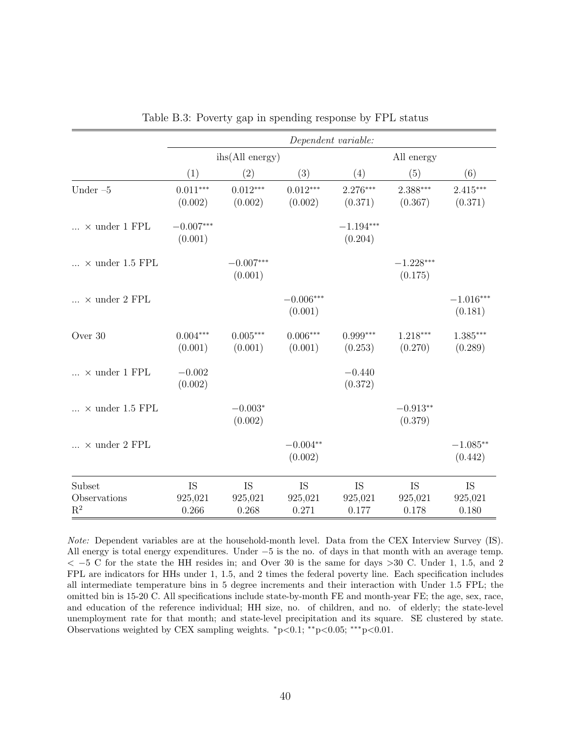|                                 |                        |                        |                        | Dependent variable:    |                        |                        |  |
|---------------------------------|------------------------|------------------------|------------------------|------------------------|------------------------|------------------------|--|
|                                 |                        | ihs(All energy)        |                        | All energy             |                        |                        |  |
|                                 | (1)                    | (2)                    | (3)                    | (4)                    | (5)                    | (6)                    |  |
| Under $-5$                      | $0.011***$<br>(0.002)  | $0.012***$<br>(0.002)  | $0.012***$<br>(0.002)  | $2.276***$<br>(0.371)  | $2.388***$<br>(0.367)  | $2.415***$<br>(0.371)  |  |
| $\ldots$ × under 1 FPL          | $-0.007***$<br>(0.001) |                        |                        | $-1.194***$<br>(0.204) |                        |                        |  |
| $\ldots$ × under 1.5 FPL        |                        | $-0.007***$<br>(0.001) |                        |                        | $-1.228***$<br>(0.175) |                        |  |
| $\ldots\,$ $\times$ under 2 FPL |                        |                        | $-0.006***$<br>(0.001) |                        |                        | $-1.016***$<br>(0.181) |  |
| Over 30                         | $0.004***$<br>(0.001)  | $0.005***$<br>(0.001)  | $0.006***$<br>(0.001)  | $0.999***$<br>(0.253)  | 1.218***<br>(0.270)    | 1.385***<br>(0.289)    |  |
| $\dots \times$ under 1 FPL      | $-0.002$<br>(0.002)    |                        |                        | $-0.440$<br>(0.372)    |                        |                        |  |
| $\ldots$ × under 1.5 FPL        |                        | $-0.003*$<br>(0.002)   |                        |                        | $-0.913**$<br>(0.379)  |                        |  |
| $\ldots$ × under 2 FPL          |                        |                        | $-0.004**$<br>(0.002)  |                        |                        | $-1.085**$<br>(0.442)  |  |
| Subset                          | <b>IS</b>              | <b>IS</b>              | <b>IS</b>              | <b>IS</b>              | <b>IS</b>              | IS                     |  |
| Observations<br>$R^2$           | 925,021<br>0.266       | 925,021<br>0.268       | 925,021<br>0.271       | 925,021<br>0.177       | 925,021<br>0.178       | 925,021<br>0.180       |  |

| Table B.3: Poverty gap in spending response by FPL status |  |  |  |  |
|-----------------------------------------------------------|--|--|--|--|
|                                                           |  |  |  |  |

Note: Dependent variables are at the household-month level. Data from the CEX Interview Survey (IS). All energy is total energy expenditures. Under −5 is the no. of days in that month with an average temp.  $<-5$  C for the state the HH resides in; and Over 30 is the same for days  $>30$  C. Under 1, 1.5, and 2 FPL are indicators for HHs under 1, 1.5, and 2 times the federal poverty line. Each specification includes all intermediate temperature bins in 5 degree increments and their interaction with Under 1.5 FPL; the omitted bin is 15-20 C. All specifications include state-by-month FE and month-year FE; the age, sex, race, and education of the reference individual; HH size, no. of children, and no. of elderly; the state-level unemployment rate for that month; and state-level precipitation and its square. SE clustered by state. Observations weighted by CEX sampling weights.  $*p<0.1$ ;  $*p<0.05$ ;  $**p<0.01$ .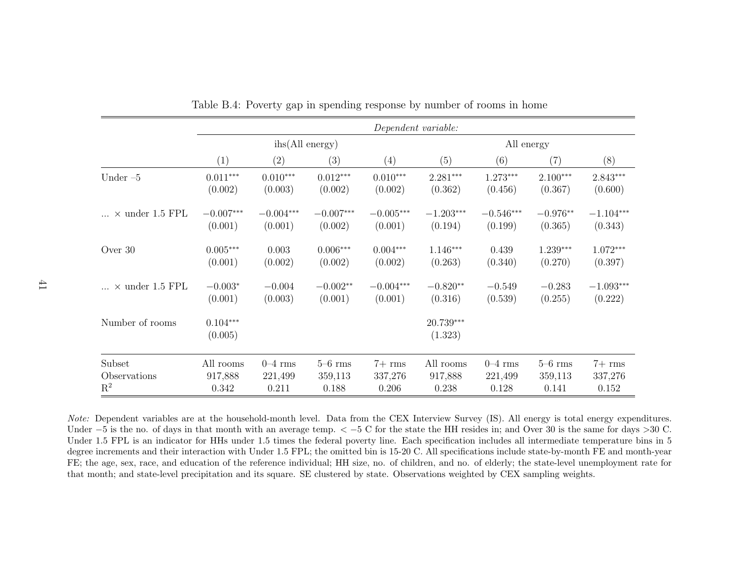|                          |                       | Dependent variable: |                 |             |                      |             |             |             |  |
|--------------------------|-----------------------|---------------------|-----------------|-------------|----------------------|-------------|-------------|-------------|--|
|                          |                       | ihs(All energy)     |                 |             |                      | All energy  |             |             |  |
|                          | (1)                   | (2)                 | (3)             | (4)         | (5)                  | (6)         | (7)         | (8)         |  |
| Under $-5$               | $0.011***$            | $0.010***$          | $0.012***$      | $0.010***$  | $2.281***$           | $1.273***$  | $2.100***$  | $2.843***$  |  |
|                          | (0.002)               | (0.003)             | (0.002)         | (0.002)     | (0.362)              | (0.456)     | (0.367)     | (0.600)     |  |
| $\ldots$ × under 1.5 FPL | $-0.007***$           | $-0.004***$         | $-0.007***$     | $-0.005***$ | $-1.203***$          | $-0.546***$ | $-0.976**$  | $-1.104***$ |  |
|                          | (0.001)               | (0.001)             | (0.002)         | (0.001)     | (0.194)              | (0.199)     | (0.365)     | (0.343)     |  |
| Over 30                  | $0.005***$            | 0.003               | $0.006^{***}\,$ | $0.004***$  | $1.146***$           | 0.439       | $1.239***$  | $1.072***$  |  |
|                          | (0.001)               | (0.002)             | (0.002)         | (0.002)     | (0.263)              | (0.340)     | (0.270)     | (0.397)     |  |
| $\ldots$ × under 1.5 FPL | $-0.003*$             | $-0.004$            | $-0.002**$      | $-0.004***$ | $-0.820**$           | $-0.549$    | $-0.283$    | $-1.093***$ |  |
|                          | (0.001)               | (0.003)             | (0.001)         | (0.001)     | (0.316)              | (0.539)     | (0.255)     | (0.222)     |  |
| Number of rooms          | $0.104***$<br>(0.005) |                     |                 |             | 20.739***<br>(1.323) |             |             |             |  |
| Subset                   | All rooms             | $0 - 4$ rms         | $5-6$ rms       | $7+$ rms    | All rooms            | $0 - 4$ rms | $5 - 6$ rms | $7+$ rms    |  |
| Observations             | 917,888               | 221,499             | 359,113         | 337,276     | 917,888              | 221,499     | 359,113     | 337,276     |  |
| $R^2$                    | 0.342                 | 0.211               | 0.188           | 0.206       | 0.238                | 0.128       | 0.141       | 0.152       |  |

Table B.4: Poverty gap in spending response by number of rooms in home

Note: Dependent variables are at the household-month level. Data from the CEX Interview Survey (IS). All energy is total energy expenditures. Under<sup>−</sup>5 is the no. of days in that month with an average temp.<<sup>−</sup>5 C for the state the HH resides in; and Over 30 is the same for days>30 C. Under 1.5 FPL is an indicator for HHs under 1.5 times the federal poverty line. Each specification includes all intermediate temperature bins in 5 degree increments and their interaction with Under 1.5 FPL; the omitted bin is 15-20 C. All specifications include state-by-month FE and month-year FE; the age, sex, race, and education of the reference individual; HH size, no. of children, and no. of elderly; the state-level unemployment rate forthat month; and state-level precipitation and its square. SE clustered by state. Observations weighted by CEX sampling weights.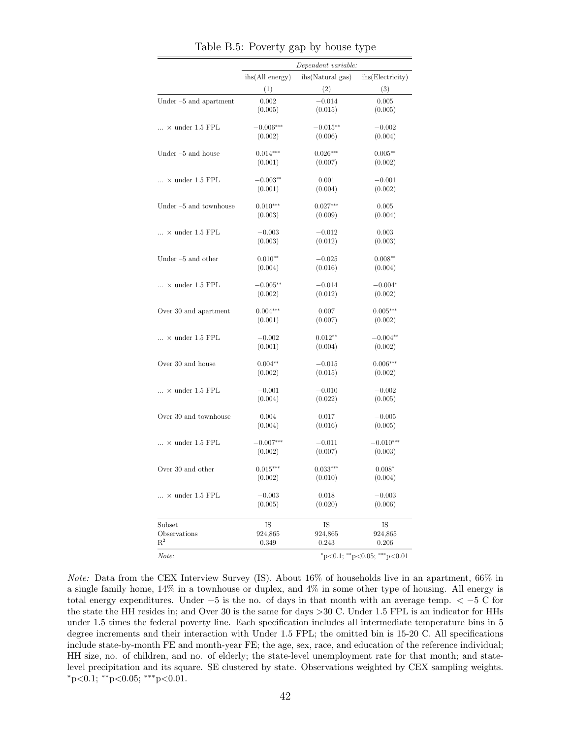|                              |                 | Dependent variable: |                  |
|------------------------------|-----------------|---------------------|------------------|
|                              | ihs(All energy) | ihs(Natural gas)    | ihs(Electricity) |
|                              | (1)             | (2)                 | (3)              |
| Under $-5$ and apartment     | 0.002           | $-0.014$            | 0.005            |
|                              | (0.005)         | (0.015)             | (0.005)          |
| $\ldots$ × under 1.5 FPL     | $-0.006***$     | $-0.015**$          | $-0.002$         |
|                              | (0.002)         | (0.006)             | (0.004)          |
| Under $-5$ and house         | $0.014***$      | $0.026***$          | $0.005**$        |
|                              | (0.001)         | (0.007)             | (0.002)          |
| $\ldots$ × under 1.5 FPL     | $-0.003**$      | 0.001               | $-0.001$         |
|                              | (0.001)         | (0.004)             | (0.002)          |
| Under $-5$ and townhouse     | $0.010***$      | $0.027***$          | 0.005            |
|                              | (0.003)         | (0.009)             | (0.004)          |
| $\ldots$ × under 1.5 FPL     | $-0.003$        | $-0.012$            | 0.003            |
|                              | (0.003)         | (0.012)             | (0.003)          |
| Under $-5$ and other         | $0.010**$       | $-0.025$            | $0.008**$        |
|                              | (0.004)         | (0.016)             | (0.004)          |
| $\ldots$ × under 1.5 FPL     | $-0.005**$      | $-0.014$            | $-0.004*$        |
|                              | (0.002)         | (0.012)             | (0.002)          |
| Over 30 and apartment        | $0.004***$      | 0.007               | $0.005***$       |
|                              | (0.001)         | (0.007)             | (0.002)          |
| $\ldots$ × under 1.5 FPL     | $-0.002$        | $0.012**$           | $-0.004**$       |
|                              | (0.001)         | (0.004)             | (0.002)          |
| Over 30 and house            | $0.004**$       | $-0.015$            | $0.006***$       |
|                              | (0.002)         | (0.015)             | (0.002)          |
| $\dots \times$ under 1.5 FPL | $-0.001$        | $-0.010$            | $-0.002$         |
|                              | (0.004)         | (0.022)             | (0.005)          |
| Over 30 and townhouse        | 0.004           | 0.017               | $-0.005$         |
|                              | (0.004)         | (0.016)             | (0.005)          |
| $\ldots$ × under 1.5 FPL     | $-0.007***$     | $-0.011$            | $-0.010***$      |
|                              | (0.002)         | (0.007)             | (0.003)          |
| Over 30 and other            | $0.015***$      | $0.033***$          | $0.008*$         |
|                              | (0.002)         | (0.010)             | (0.004)          |
| $\ldots$ × under 1.5 FPL     | $-0.003$        | 0.018               | $-0.003$         |
|                              | (0.005)         | (0.020)             | (0.006)          |
| Subset                       | IS              | IS                  | IS               |
| Observations                 | 924,865         | 924,865             | 924,865          |
| $\mathrm{R}^2$               | 0.349           | 0.243               | 0.206            |

<span id="page-42-0"></span>Table B.5: Poverty gap by house type

Note: Data from the CEX Interview Survey (IS). About 16% of households live in an apartment, 66% in a single family home, 14% in a townhouse or duplex, and 4% in some other type of housing. All energy is total energy expenditures. Under −5 is the no. of days in that month with an average temp. < −5 C for the state the HH resides in; and Over 30 is the same for days >30 C. Under 1.5 FPL is an indicator for HHs under 1.5 times the federal poverty line. Each specification includes all intermediate temperature bins in 5 degree increments and their interaction with Under 1.5 FPL; the omitted bin is 15-20 C. All specifications include state-by-month FE and month-year FE; the age, sex, race, and education of the reference individual; HH size, no. of children, and no. of elderly; the state-level unemployment rate for that month; and statelevel precipitation and its square. SE clustered by state. Observations weighted by CEX sampling weights. <sup>∗</sup>p<0.1; ∗∗p<0.05; ∗∗∗p<0.01.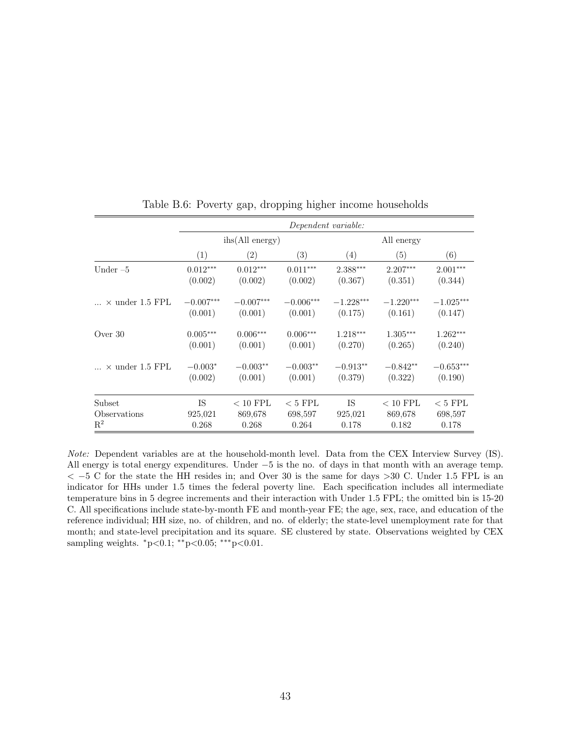|                        |             | Dependent variable: |                 |             |             |             |  |  |  |
|------------------------|-------------|---------------------|-----------------|-------------|-------------|-------------|--|--|--|
|                        |             | ihs(All energy)     |                 |             | All energy  |             |  |  |  |
|                        | (1)         | $\left( 2\right)$   | (3)             | (4)         | (5)         | (6)         |  |  |  |
| Under $-5$             | $0.012***$  | $0.012***$          | $0.011***$      | $2.388***$  | $2.207***$  | $2.001***$  |  |  |  |
|                        | (0.002)     | (0.002)             | (0.002)         | (0.367)     | (0.351)     | (0.344)     |  |  |  |
| $\times$ under 1.5 FPL | $-0.007***$ | $-0.007***$         | $-0.006***$     | $-1.228***$ | $-1.220***$ | $-1.025***$ |  |  |  |
|                        | (0.001)     | (0.001)             | (0.001)         | (0.175)     | (0.161)     | (0.147)     |  |  |  |
| Over $30$              | $0.005***$  | $0.006***$          | $0.006^{***}\,$ | $1.218***$  | $1.305***$  | $1.262***$  |  |  |  |
|                        | (0.001)     | (0.001)             | (0.001)         | (0.270)     | (0.265)     | (0.240)     |  |  |  |
| $\times$ under 1.5 FPL | $-0.003*$   | $-0.003**$          | $-0.003**$      | $-0.913**$  | $-0.842**$  | $-0.653***$ |  |  |  |
|                        | (0.002)     | (0.001)             | (0.001)         | (0.379)     | (0.322)     | (0.190)     |  |  |  |
| Subset                 | IS          | $< 10$ FPL          | $< 5$ FPL       | IS          | $< 10$ FPL  | $< 5$ FPL   |  |  |  |
| Observations           | 925,021     | 869,678             | 698,597         | 925,021     | 869,678     | 698,597     |  |  |  |
| $R^2$                  | 0.268       | 0.268               | 0.264           | 0.178       | 0.182       | 0.178       |  |  |  |

<span id="page-43-0"></span>Table B.6: Poverty gap, dropping higher income households

Note: Dependent variables are at the household-month level. Data from the CEX Interview Survey (IS). All energy is total energy expenditures. Under −5 is the no. of days in that month with an average temp.  $<-5$  C for the state the HH resides in; and Over 30 is the same for days  $>30$  C. Under 1.5 FPL is an indicator for HHs under 1.5 times the federal poverty line. Each specification includes all intermediate temperature bins in 5 degree increments and their interaction with Under 1.5 FPL; the omitted bin is 15-20 C. All specifications include state-by-month FE and month-year FE; the age, sex, race, and education of the reference individual; HH size, no. of children, and no. of elderly; the state-level unemployment rate for that month; and state-level precipitation and its square. SE clustered by state. Observations weighted by CEX sampling weights.  $*p<0.1; **p<0.05; ***p<0.01$ .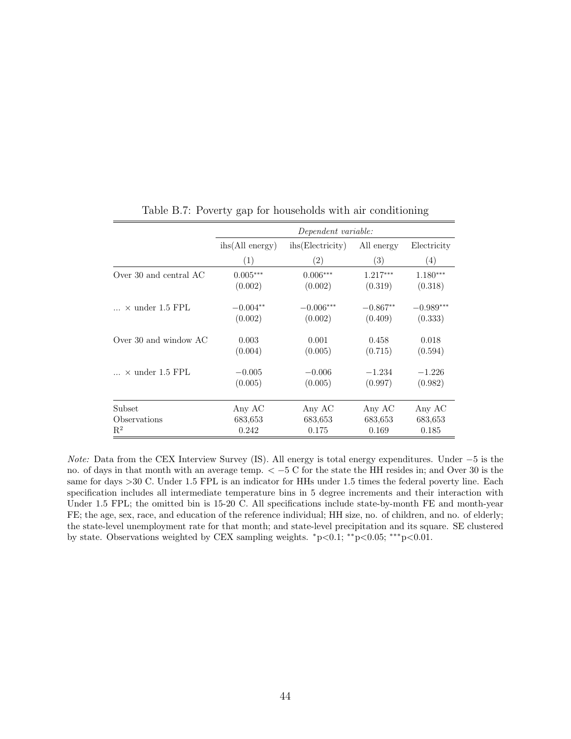|                          | Dependent variable:      |                   |                   |             |  |  |
|--------------------------|--------------------------|-------------------|-------------------|-------------|--|--|
|                          | $i\text{hs}(All energy)$ | ihs (Electricity) | All energy        | Electricity |  |  |
|                          | (1)                      | $\left( 2\right)$ | $\left( 3\right)$ | (4)         |  |  |
| Over 30 and central AC   | $0.005***$               | $0.006***$        | $1.217***$        | $1.180***$  |  |  |
|                          | (0.002)                  | (0.002)           | (0.319)           | (0.318)     |  |  |
| $\ldots$ × under 1.5 FPL | $-0.004**$               | $-0.006***$       | $-0.867**$        | $-0.989***$ |  |  |
|                          | (0.002)                  | (0.002)           | (0.409)           | (0.333)     |  |  |
| Over 30 and window $AC$  | 0.003                    | 0.001             | 0.458             | 0.018       |  |  |
|                          | (0.004)                  | (0.005)           | (0.715)           | (0.594)     |  |  |
| $\times$ under 1.5 FPL   | $-0.005$                 | $-0.006$          | $-1.234$          | $-1.226$    |  |  |
|                          | (0.005)                  | (0.005)           | (0.997)           | (0.982)     |  |  |
| Subset                   | Any AC                   | Any AC            | Any AC            | Any AC      |  |  |
| Observations             | 683,653                  | 683,653           | 683,653           | 683,653     |  |  |
| $\rm R^2$                | 0.242                    | 0.175             | 0.169             | 0.185       |  |  |

<span id="page-44-0"></span>Table B.7: Poverty gap for households with air conditioning

Note: Data from the CEX Interview Survey (IS). All energy is total energy expenditures. Under −5 is the no. of days in that month with an average temp. < −5 C for the state the HH resides in; and Over 30 is the same for days  $>30$  C. Under 1.5 FPL is an indicator for HHs under 1.5 times the federal poverty line. Each specification includes all intermediate temperature bins in 5 degree increments and their interaction with Under 1.5 FPL; the omitted bin is 15-20 C. All specifications include state-by-month FE and month-year FE; the age, sex, race, and education of the reference individual; HH size, no. of children, and no. of elderly; the state-level unemployment rate for that month; and state-level precipitation and its square. SE clustered by state. Observations weighted by CEX sampling weights. <sup>∗</sup>p<0.1; ∗∗p<0.05; ∗∗∗p<0.01.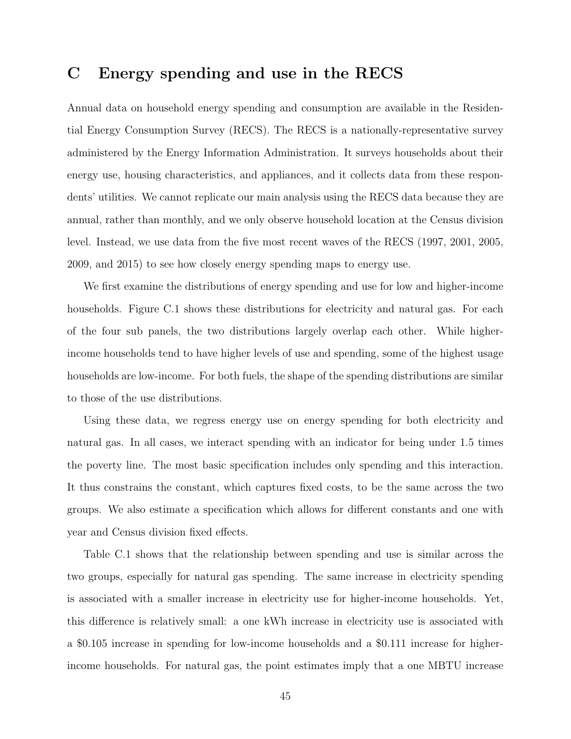### <span id="page-45-0"></span>C Energy spending and use in the RECS

Annual data on household energy spending and consumption are available in the Residential Energy Consumption Survey (RECS). The RECS is a nationally-representative survey administered by the Energy Information Administration. It surveys households about their energy use, housing characteristics, and appliances, and it collects data from these respondents' utilities. We cannot replicate our main analysis using the RECS data because they are annual, rather than monthly, and we only observe household location at the Census division level. Instead, we use data from the five most recent waves of the RECS (1997, 2001, 2005, 2009, and 2015) to see how closely energy spending maps to energy use.

We first examine the distributions of energy spending and use for low and higher-income households. Figure [C.1](#page-48-0) shows these distributions for electricity and natural gas. For each of the four sub panels, the two distributions largely overlap each other. While higherincome households tend to have higher levels of use and spending, some of the highest usage households are low-income. For both fuels, the shape of the spending distributions are similar to those of the use distributions.

Using these data, we regress energy use on energy spending for both electricity and natural gas. In all cases, we interact spending with an indicator for being under 1.5 times the poverty line. The most basic specification includes only spending and this interaction. It thus constrains the constant, which captures fixed costs, to be the same across the two groups. We also estimate a specification which allows for different constants and one with year and Census division fixed effects.

Table [C.1](#page-23-0) shows that the relationship between spending and use is similar across the two groups, especially for natural gas spending. The same increase in electricity spending is associated with a smaller increase in electricity use for higher-income households. Yet, this difference is relatively small: a one kWh increase in electricity use is associated with a \$0.105 increase in spending for low-income households and a \$0.111 increase for higherincome households. For natural gas, the point estimates imply that a one MBTU increase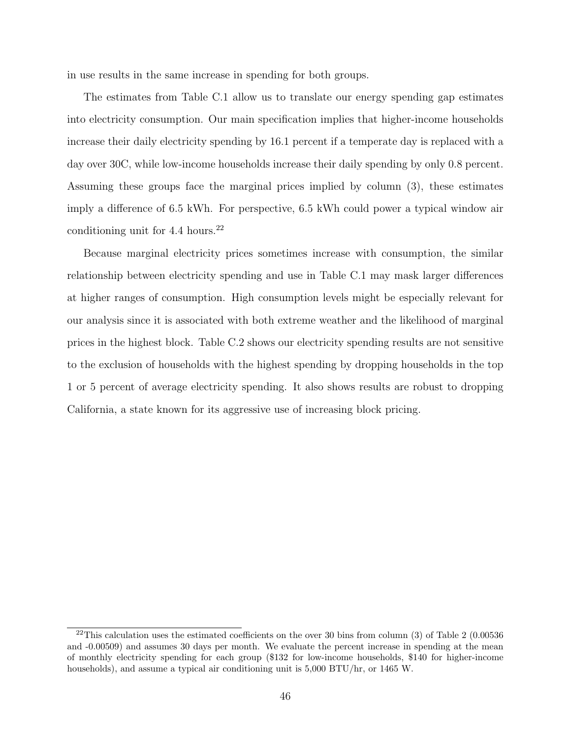in use results in the same increase in spending for both groups.

The estimates from Table [C.1](#page-23-0) allow us to translate our energy spending gap estimates into electricity consumption. Our main specification implies that higher-income households increase their daily electricity spending by 16.1 percent if a temperate day is replaced with a day over 30C, while low-income households increase their daily spending by only 0.8 percent. Assuming these groups face the marginal prices implied by column (3), these estimates imply a difference of 6.5 kWh. For perspective, 6.5 kWh could power a typical window air conditioning unit for  $4.4 \text{ hours.}^{22}$  $4.4 \text{ hours.}^{22}$  $4.4 \text{ hours.}^{22}$ 

Because marginal electricity prices sometimes increase with consumption, the similar relationship between electricity spending and use in Table [C.1](#page-23-0) may mask larger differences at higher ranges of consumption. High consumption levels might be especially relevant for our analysis since it is associated with both extreme weather and the likelihood of marginal prices in the highest block. Table [C.2](#page-26-0) shows our electricity spending results are not sensitive to the exclusion of households with the highest spending by dropping households in the top 1 or 5 percent of average electricity spending. It also shows results are robust to dropping California, a state known for its aggressive use of increasing block pricing.

 $22$ This calculation uses the estimated coefficients on the over 30 bins from column (3) of Table [2](#page-26-0) (0.00536 and -0.00509) and assumes 30 days per month. We evaluate the percent increase in spending at the mean of monthly electricity spending for each group (\$132 for low-income households, \$140 for higher-income households), and assume a typical air conditioning unit is 5,000 BTU/hr, or 1465 W.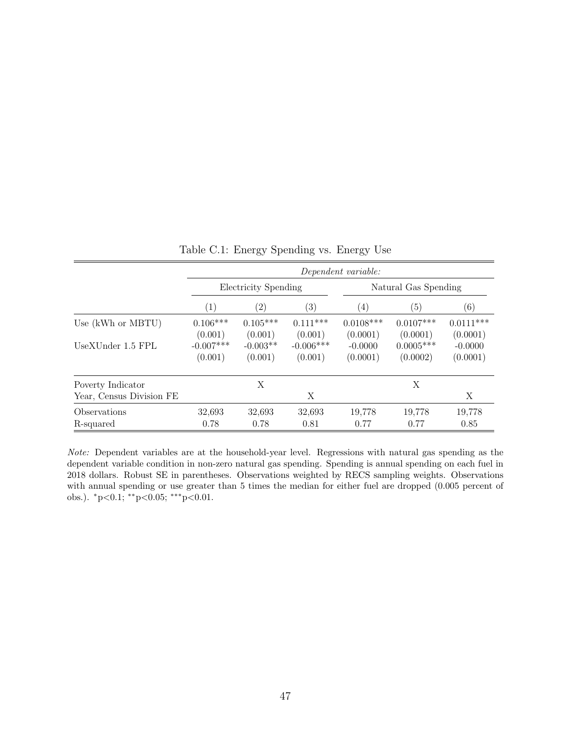|                          | Dependent variable:    |                       |                        |                         |                         |                         |  |
|--------------------------|------------------------|-----------------------|------------------------|-------------------------|-------------------------|-------------------------|--|
|                          | Electricity Spending   |                       |                        | Natural Gas Spending    |                         |                         |  |
|                          | $\left( 1\right)$      | $\left( 2\right)$     | $\left( 3\right)$      | $\left( 4\right)$       | (5)                     | $\left( 6\right)$       |  |
| Use (kWh or MBTU)        | $0.106***$<br>(0.001)  | $0.105***$<br>(0.001) | $0.111***$<br>(0.001)  | $0.0108***$<br>(0.0001) | $0.0107***$<br>(0.0001) | $0.0111***$<br>(0.0001) |  |
| UseXUnder 1.5 FPL        | $-0.007***$<br>(0.001) | $-0.003**$<br>(0.001) | $-0.006***$<br>(0.001) | $-0.0000$<br>(0.0001)   | $0.0005***$<br>(0.0002) | $-0.0000$<br>(0.0001)   |  |
| Poverty Indicator        |                        | X                     |                        |                         | X                       |                         |  |
| Year, Census Division FE |                        |                       | Х                      |                         |                         | Χ                       |  |
| Observations             | 32,693                 | 32,693                | 32,693                 | 19,778                  | 19,778                  | 19,778                  |  |
| R-squared                | 0.78                   | 0.78                  | 0.81                   | 0.77                    | 0.77                    | 0.85                    |  |

Table C.1: Energy Spending vs. Energy Use

Note: Dependent variables are at the household-year level. Regressions with natural gas spending as the dependent variable condition in non-zero natural gas spending. Spending is annual spending on each fuel in 2018 dollars. Robust SE in parentheses. Observations weighted by RECS sampling weights. Observations with annual spending or use greater than 5 times the median for either fuel are dropped  $(0.005$  percent of obs.). <sup>∗</sup>p<0.1; ∗∗p<0.05; ∗∗∗p<0.01.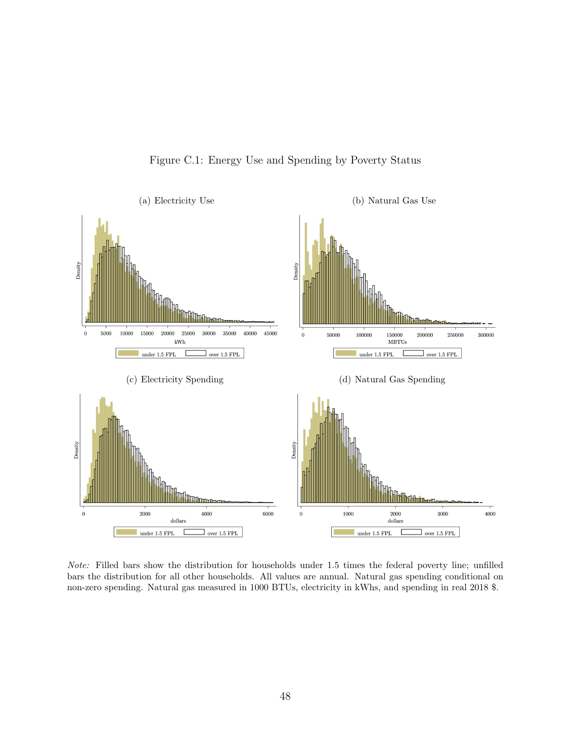

<span id="page-48-0"></span>Figure C.1: Energy Use and Spending by Poverty Status

Note: Filled bars show the distribution for households under 1.5 times the federal poverty line; unfilled bars the distribution for all other households. All values are annual. Natural gas spending conditional on non-zero spending. Natural gas measured in 1000 BTUs, electricity in kWhs, and spending in real 2018 \$.